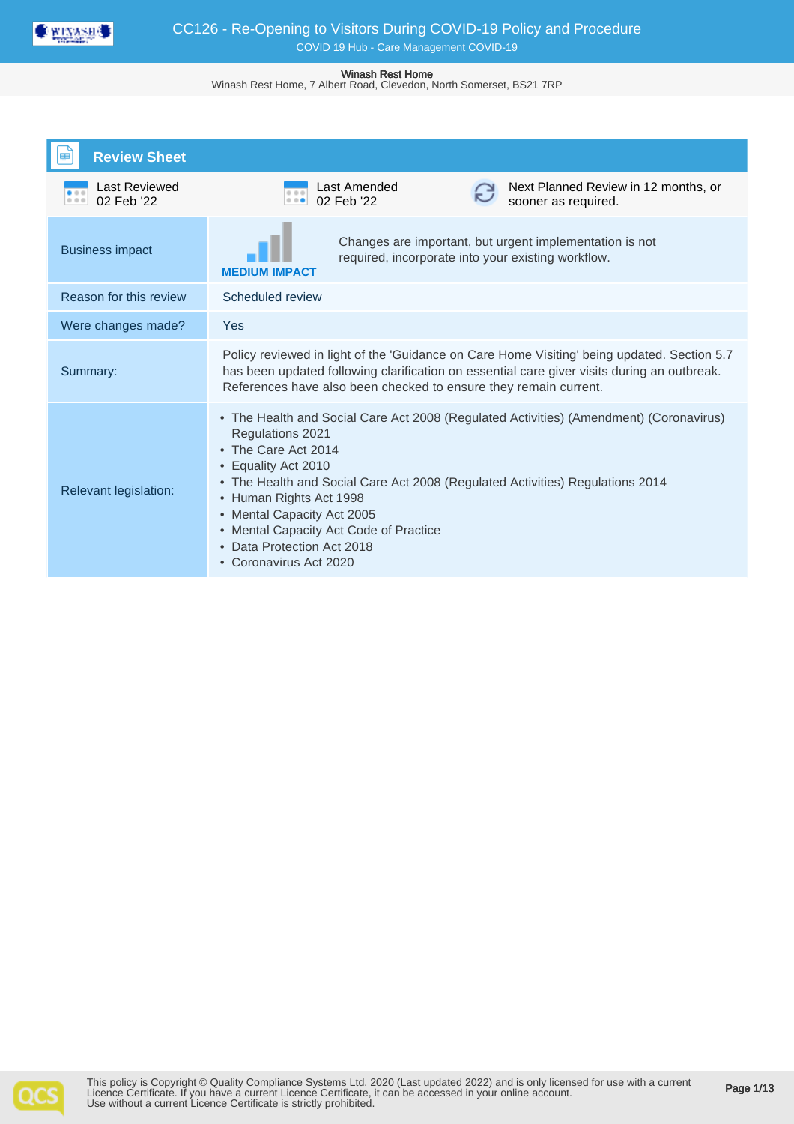

Winash Rest Home, 7 Albert Road, Clevedon, North Somerset, BS21 7RP

| <b>Review Sheet</b>                |                                                                                                                                                                                                                                                                                                                                                                                                                |  |  |
|------------------------------------|----------------------------------------------------------------------------------------------------------------------------------------------------------------------------------------------------------------------------------------------------------------------------------------------------------------------------------------------------------------------------------------------------------------|--|--|
| <b>Last Reviewed</b><br>02 Feb '22 | Last Amended<br>Next Planned Review in 12 months, or<br>0.0.0<br>02 Feb '22<br>sooner as required.<br>$\cdots$                                                                                                                                                                                                                                                                                                 |  |  |
| <b>Business impact</b>             | Changes are important, but urgent implementation is not<br>required, incorporate into your existing workflow.<br><b>MEDIUM IMPACT</b>                                                                                                                                                                                                                                                                          |  |  |
| Reason for this review             | Scheduled review                                                                                                                                                                                                                                                                                                                                                                                               |  |  |
| Were changes made?                 | Yes                                                                                                                                                                                                                                                                                                                                                                                                            |  |  |
| Summary:                           | Policy reviewed in light of the 'Guidance on Care Home Visiting' being updated. Section 5.7<br>has been updated following clarification on essential care giver visits during an outbreak.<br>References have also been checked to ensure they remain current.                                                                                                                                                 |  |  |
| Relevant legislation:              | • The Health and Social Care Act 2008 (Regulated Activities) (Amendment) (Coronavirus)<br>Regulations 2021<br>The Care Act 2014<br>Equality Act 2010<br>• The Health and Social Care Act 2008 (Regulated Activities) Regulations 2014<br>• Human Rights Act 1998<br>Mental Capacity Act 2005<br>٠<br>• Mental Capacity Act Code of Practice<br>Data Protection Act 2018<br>$\bullet$<br>• Coronavirus Act 2020 |  |  |

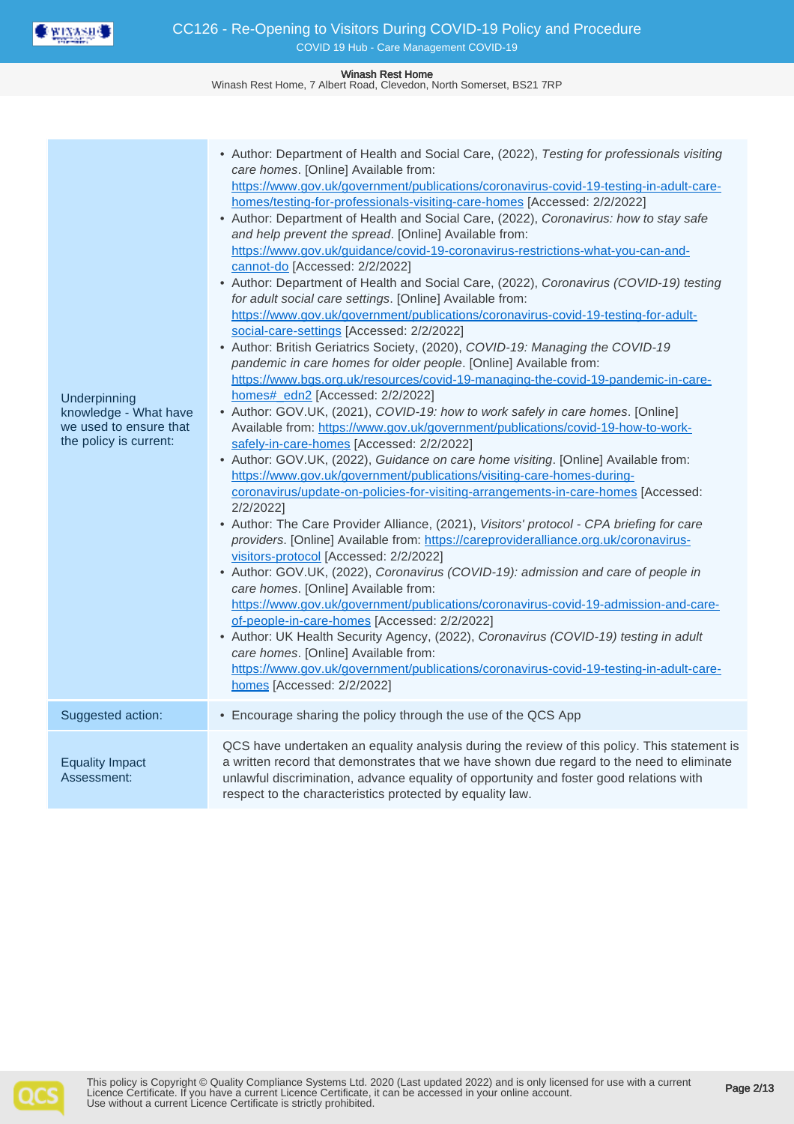

Winash Rest Home, 7 Albert Road, Clevedon, North Somerset, BS21 7RP

| Underpinning<br>knowledge - What have<br>we used to ensure that<br>the policy is current: | • Author: Department of Health and Social Care, (2022), Testing for professionals visiting<br>care homes. [Online] Available from:<br>https://www.gov.uk/government/publications/coronavirus-covid-19-testing-in-adult-care-<br>homes/testing-for-professionals-visiting-care-homes [Accessed: 2/2/2022]<br>• Author: Department of Health and Social Care, (2022), Coronavirus: how to stay safe<br>and help prevent the spread. [Online] Available from:<br>https://www.gov.uk/guidance/covid-19-coronavirus-restrictions-what-you-can-and-<br>cannot-do [Accessed: 2/2/2022]<br>• Author: Department of Health and Social Care, (2022), Coronavirus (COVID-19) testing<br>for adult social care settings. [Online] Available from:<br>https://www.gov.uk/government/publications/coronavirus-covid-19-testing-for-adult-<br>social-care-settings [Accessed: 2/2/2022]<br>• Author: British Geriatrics Society, (2020), COVID-19: Managing the COVID-19<br>pandemic in care homes for older people. [Online] Available from:<br>https://www.bgs.org.uk/resources/covid-19-managing-the-covid-19-pandemic-in-care-<br>homes# edn2 [Accessed: 2/2/2022]<br>• Author: GOV.UK, (2021), COVID-19: how to work safely in care homes. [Online]<br>Available from: https://www.gov.uk/government/publications/covid-19-how-to-work-<br>safely-in-care-homes [Accessed: 2/2/2022]<br>• Author: GOV.UK, (2022), Guidance on care home visiting. [Online] Available from:<br>https://www.gov.uk/government/publications/visiting-care-homes-during-<br>coronavirus/update-on-policies-for-visiting-arrangements-in-care-homes [Accessed:<br>2/2/2022]<br>• Author: The Care Provider Alliance, (2021), Visitors' protocol - CPA briefing for care<br>providers. [Online] Available from: https://careprovideralliance.org.uk/coronavirus-<br>visitors-protocol [Accessed: 2/2/2022]<br>• Author: GOV.UK, (2022), Coronavirus (COVID-19): admission and care of people in<br>care homes. [Online] Available from:<br>https://www.gov.uk/government/publications/coronavirus-covid-19-admission-and-care-<br>of-people-in-care-homes [Accessed: 2/2/2022]<br>• Author: UK Health Security Agency, (2022), Coronavirus (COVID-19) testing in adult<br>care homes. [Online] Available from:<br>https://www.gov.uk/government/publications/coronavirus-covid-19-testing-in-adult-care-<br>homes [Accessed: 2/2/2022] |
|-------------------------------------------------------------------------------------------|--------------------------------------------------------------------------------------------------------------------------------------------------------------------------------------------------------------------------------------------------------------------------------------------------------------------------------------------------------------------------------------------------------------------------------------------------------------------------------------------------------------------------------------------------------------------------------------------------------------------------------------------------------------------------------------------------------------------------------------------------------------------------------------------------------------------------------------------------------------------------------------------------------------------------------------------------------------------------------------------------------------------------------------------------------------------------------------------------------------------------------------------------------------------------------------------------------------------------------------------------------------------------------------------------------------------------------------------------------------------------------------------------------------------------------------------------------------------------------------------------------------------------------------------------------------------------------------------------------------------------------------------------------------------------------------------------------------------------------------------------------------------------------------------------------------------------------------------------------------------------------------------------------------------------------------------------------------------------------------------------------------------------------------------------------------------------------------------------------------------------------------------------------------------------------------------------------------------------------------------------------------------------------------------------------------------------------------------------------------------------------------------------------|
| Suggested action:                                                                         | • Encourage sharing the policy through the use of the QCS App                                                                                                                                                                                                                                                                                                                                                                                                                                                                                                                                                                                                                                                                                                                                                                                                                                                                                                                                                                                                                                                                                                                                                                                                                                                                                                                                                                                                                                                                                                                                                                                                                                                                                                                                                                                                                                                                                                                                                                                                                                                                                                                                                                                                                                                                                                                                          |
| <b>Equality Impact</b><br>Assessment:                                                     | QCS have undertaken an equality analysis during the review of this policy. This statement is<br>a written record that demonstrates that we have shown due regard to the need to eliminate<br>unlawful discrimination, advance equality of opportunity and foster good relations with<br>respect to the characteristics protected by equality law.                                                                                                                                                                                                                                                                                                                                                                                                                                                                                                                                                                                                                                                                                                                                                                                                                                                                                                                                                                                                                                                                                                                                                                                                                                                                                                                                                                                                                                                                                                                                                                                                                                                                                                                                                                                                                                                                                                                                                                                                                                                      |

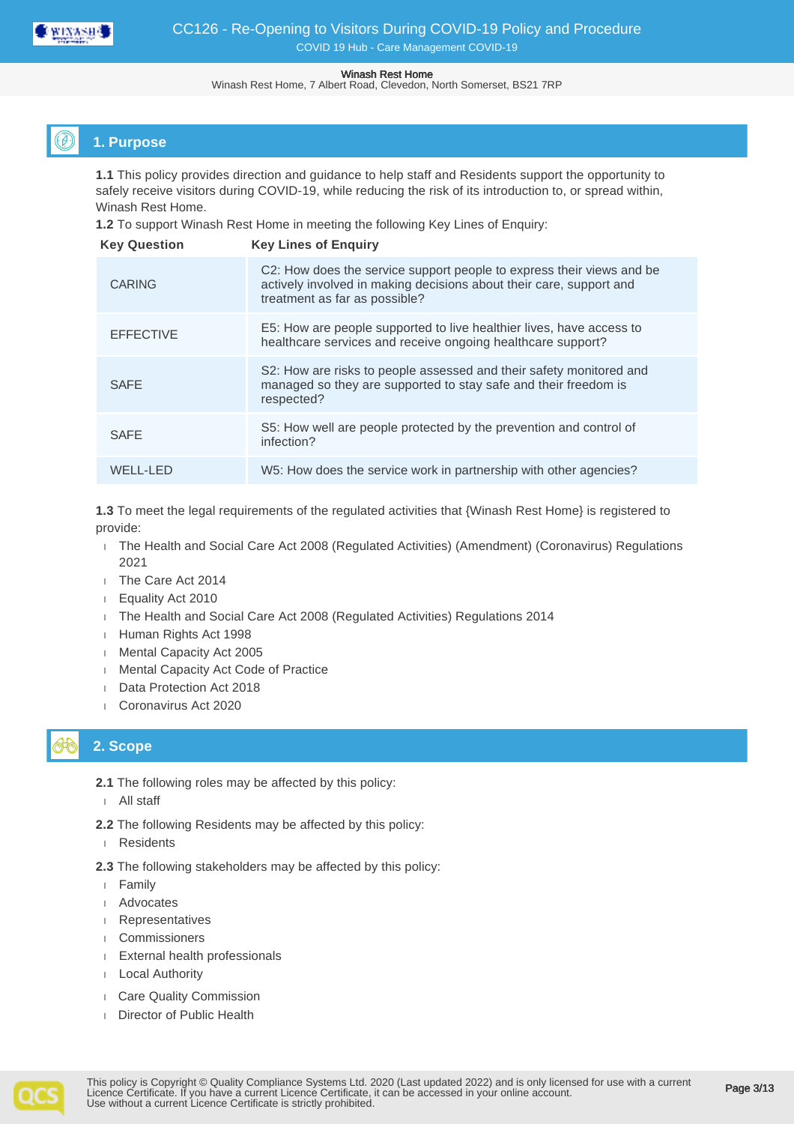

Winash Rest Home, 7 Albert Road, Clevedon, North Somerset, BS21 7RP

## **1. Purpose**

**1.1** This policy provides direction and guidance to help staff and Residents support the opportunity to safely receive visitors during COVID-19, while reducing the risk of its introduction to, or spread within, Winash Rest Home.

**1.2** To support Winash Rest Home in meeting the following Key Lines of Enquiry:

| <b>Key Question</b> | <b>Key Lines of Enguiry</b>                                                                                                                                                   |
|---------------------|-------------------------------------------------------------------------------------------------------------------------------------------------------------------------------|
| <b>CARING</b>       | C2: How does the service support people to express their views and be<br>actively involved in making decisions about their care, support and<br>treatment as far as possible? |
| <b>EFFECTIVE</b>    | E5: How are people supported to live healthier lives, have access to<br>healthcare services and receive ongoing healthcare support?                                           |
| <b>SAFE</b>         | S2: How are risks to people assessed and their safety monitored and<br>managed so they are supported to stay safe and their freedom is<br>respected?                          |
| <b>SAFE</b>         | S5: How well are people protected by the prevention and control of<br>infection?                                                                                              |
| WELL-LED            | W5: How does the service work in partnership with other agencies?                                                                                                             |

**1.3** To meet the legal requirements of the regulated activities that {Winash Rest Home} is registered to provide:

- 1 The Health and Social Care Act 2008 (Regulated Activities) (Amendment) (Coronavirus) Regulations 2021
- The Care Act 2014
- Equality Act 2010
- The Health and Social Care Act 2008 (Regulated Activities) Regulations 2014
- Human Rights Act 1998
- **Mental Capacity Act 2005**
- **Mental Capacity Act Code of Practice**
- Data Protection Act 2018
- Coronavirus Act 2020

# **2. Scope**

- **2.1** The following roles may be affected by this policy:
- All staff
- **2.2** The following Residents may be affected by this policy:
- Residents
- **2.3** The following stakeholders may be affected by this policy:
- Family
- Advocates
- Representatives
- Commissioners
- External health professionals
- Local Authority
- Care Quality Commission
- **Director of Public Health**

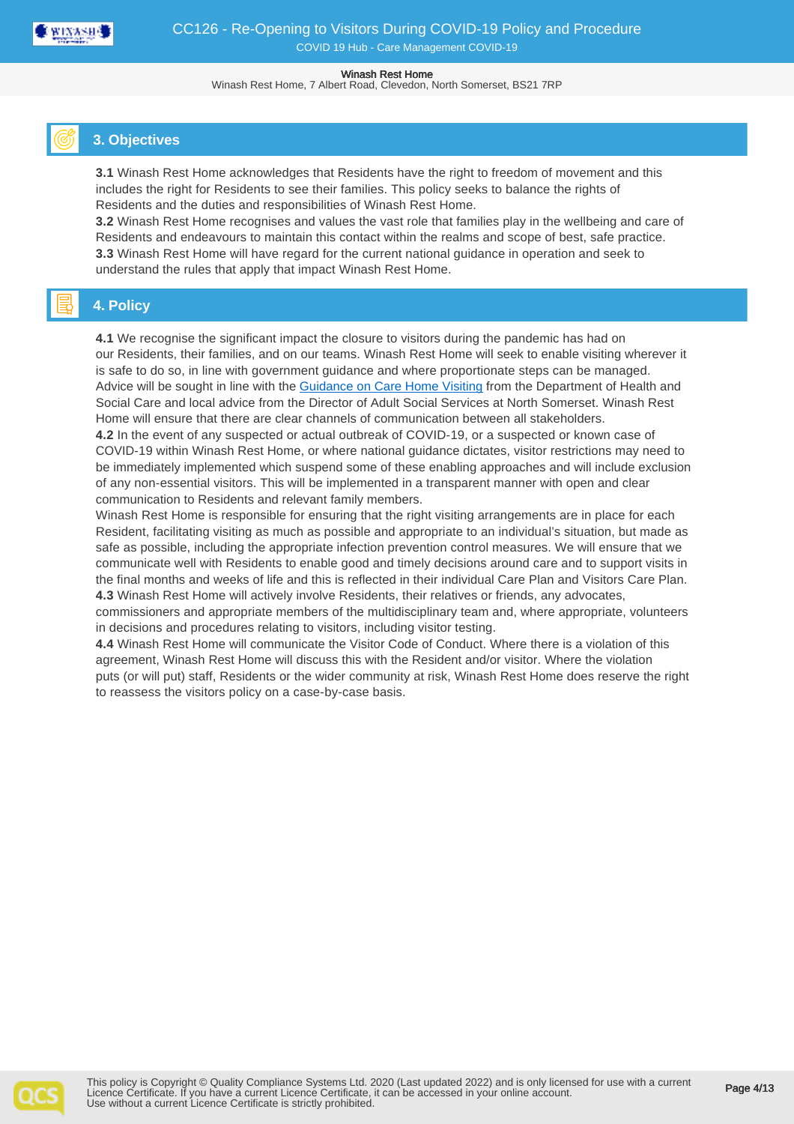

Winash Rest Home, 7 Albert Road, Clevedon, North Somerset, BS21 7RP

## **3. Objectives**

**3.1** Winash Rest Home acknowledges that Residents have the right to freedom of movement and this includes the right for Residents to see their families. This policy seeks to balance the rights of Residents and the duties and responsibilities of Winash Rest Home.

**3.2** Winash Rest Home recognises and values the vast role that families play in the wellbeing and care of Residents and endeavours to maintain this contact within the realms and scope of best, safe practice. **3.3** Winash Rest Home will have regard for the current national guidance in operation and seek to understand the rules that apply that impact Winash Rest Home.

## **4. Policy**

**4.1** We recognise the significant impact the closure to visitors during the pandemic has had on our Residents, their families, and on our teams. Winash Rest Home will seek to enable visiting wherever it is safe to do so, in line with government guidance and where proportionate steps can be managed. Advice will be sought in line with the [Guidance on Care Home Visiting](https://www.gov.uk/government/publications/visiting-care-homes-during-coronavirus/update-on-policies-for-visiting-arrangements-in-care-homes#outdoor-visiting) from the Department of Health and Social Care and local advice from the Director of Adult Social Services at North Somerset. Winash Rest Home will ensure that there are clear channels of communication between all stakeholders.

**4.2** In the event of any suspected or actual outbreak of COVID-19, or a suspected or known case of COVID-19 within Winash Rest Home, or where national guidance dictates, visitor restrictions may need to be immediately implemented which suspend some of these enabling approaches and will include exclusion of any non-essential visitors. This will be implemented in a transparent manner with open and clear communication to Residents and relevant family members.

Winash Rest Home is responsible for ensuring that the right visiting arrangements are in place for each Resident, facilitating visiting as much as possible and appropriate to an individual's situation, but made as safe as possible, including the appropriate infection prevention control measures. We will ensure that we communicate well with Residents to enable good and timely decisions around care and to support visits in the final months and weeks of life and this is reflected in their individual Care Plan and Visitors Care Plan. **4.3** Winash Rest Home will actively involve Residents, their relatives or friends, any advocates, commissioners and appropriate members of the multidisciplinary team and, where appropriate, volunteers in decisions and procedures relating to visitors, including visitor testing.

**4.4** Winash Rest Home will communicate the Visitor Code of Conduct. Where there is a violation of this agreement, Winash Rest Home will discuss this with the Resident and/or visitor. Where the violation puts (or will put) staff, Residents or the wider community at risk, Winash Rest Home does reserve the right to reassess the visitors policy on a case-by-case basis.

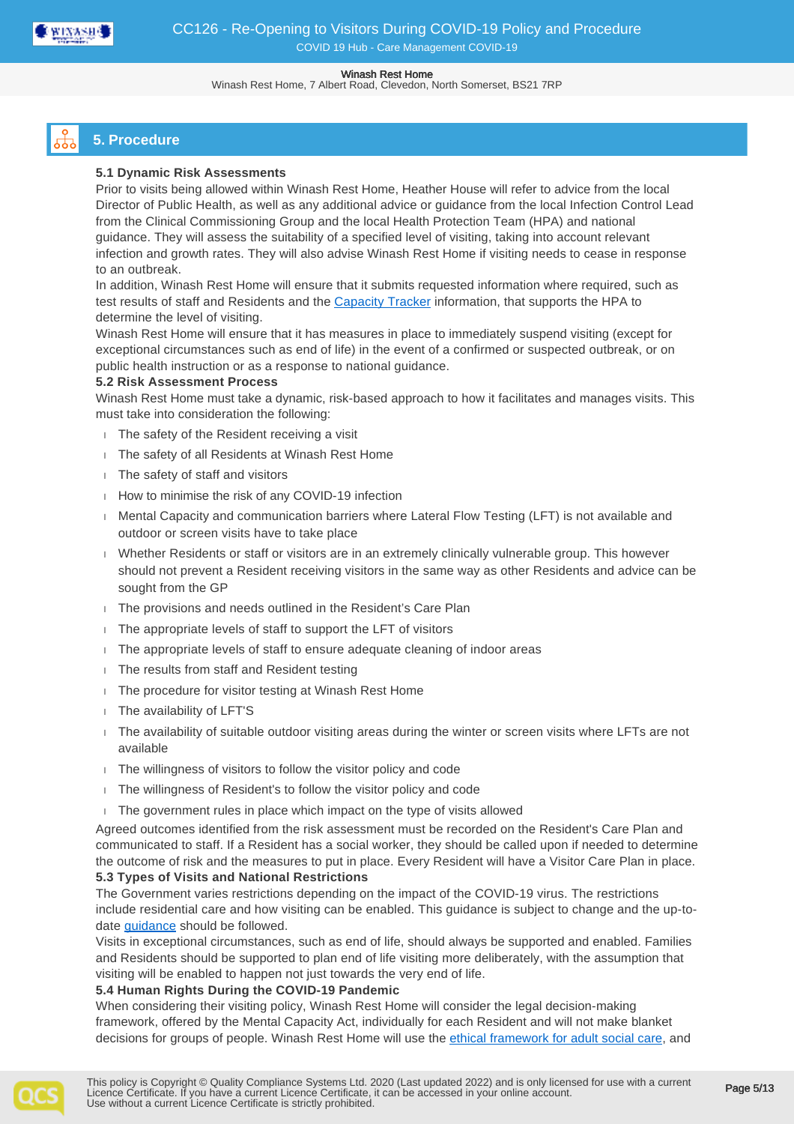

Winash Rest Home, 7 Albert Road, Clevedon, North Somerset, BS21 7RP

# **5. Procedure**

## **5.1 Dynamic Risk Assessments**

Prior to visits being allowed within Winash Rest Home, Heather House will refer to advice from the local Director of Public Health, as well as any additional advice or guidance from the local Infection Control Lead from the Clinical Commissioning Group and the local Health Protection Team (HPA) and national guidance. They will assess the suitability of a specified level of visiting, taking into account relevant infection and growth rates. They will also advise Winash Rest Home if visiting needs to cease in response to an outbreak.

In addition, Winash Rest Home will ensure that it submits requested information where required, such as test results of staff and Residents and the [Capacity Tracker](https://carehomes.necsu.nhs.uk/) information, that supports the HPA to determine the level of visiting.

Winash Rest Home will ensure that it has measures in place to immediately suspend visiting (except for exceptional circumstances such as end of life) in the event of a confirmed or suspected outbreak, or on public health instruction or as a response to national guidance.

## **5.2 Risk Assessment Process**

Winash Rest Home must take a dynamic, risk-based approach to how it facilitates and manages visits. This must take into consideration the following:

- The safety of the Resident receiving a visit
- The safety of all Residents at Winash Rest Home
- The safety of staff and visitors
- How to minimise the risk of any COVID-19 infection
- **Mental Capacity and communication barriers where Lateral Flow Testing (LFT) is not available and** outdoor or screen visits have to take place
- Whether Residents or staff or visitors are in an extremely clinically vulnerable group. This however should not prevent a Resident receiving visitors in the same way as other Residents and advice can be sought from the GP
- The provisions and needs outlined in the Resident's Care Plan
- The appropriate levels of staff to support the LFT of visitors
- The appropriate levels of staff to ensure adequate cleaning of indoor areas
- The results from staff and Resident testing
- The procedure for visitor testing at Winash Rest Home
- The availability of LFT'S
- The availability of suitable outdoor visiting areas during the winter or screen visits where LFTs are not available
- The willingness of visitors to follow the visitor policy and code
- The willingness of Resident's to follow the visitor policy and code
- The government rules in place which impact on the type of visits allowed

Agreed outcomes identified from the risk assessment must be recorded on the Resident's Care Plan and communicated to staff. If a Resident has a social worker, they should be called upon if needed to determine the outcome of risk and the measures to put in place. Every Resident will have a Visitor Care Plan in place.

## **5.3 Types of Visits and National Restrictions**

The Government varies restrictions depending on the impact of the COVID-19 virus. The restrictions include residential care and how visiting can be enabled. This guidance is subject to change and the up-todate [guidance](https://www.gov.uk/government/publications/visiting-care-homes-during-coronavirus/update-on-policies-for-visiting-arrangements-in-care-homes) should be followed.

Visits in exceptional circumstances, such as end of life, should always be supported and enabled. Families and Residents should be supported to plan end of life visiting more deliberately, with the assumption that visiting will be enabled to happen not just towards the very end of life.

## **5.4 Human Rights During the COVID-19 Pandemic**

When considering their visiting policy, Winash Rest Home will consider the legal decision-making framework, offered by the Mental Capacity Act, individually for each Resident and will not make blanket decisions for groups of people. Winash Rest Home will use the [ethical framework for adult social care](https://www.gov.uk/government/publications/covid-19-ethical-framework-for-adult-social-care), and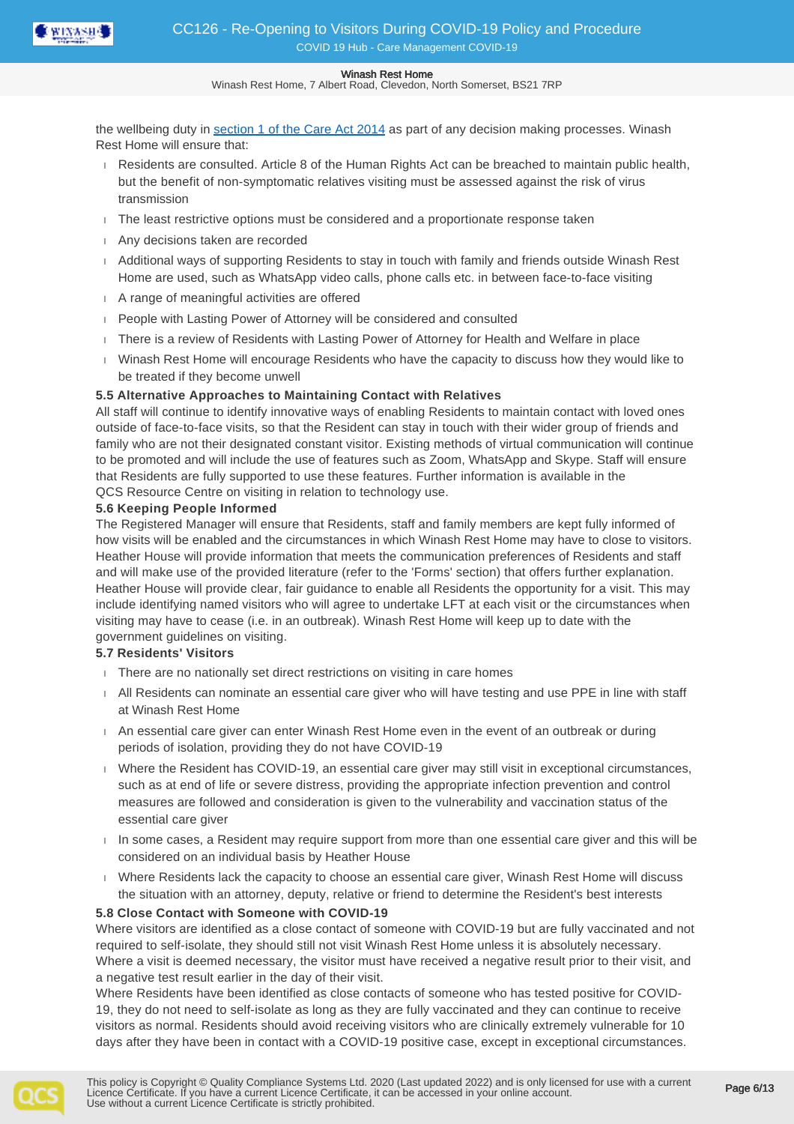

Winash Rest Home, 7 Albert Road, Clevedon, North Somerset, BS21 7RP

the wellbeing duty in [section 1 of the Care Act 2014](http://www.legislation.gov.uk/ukpga/2014/23/section/1/enacted) as part of any decision making processes. Winash Rest Home will ensure that:

- Residents are consulted. Article 8 of the Human Rights Act can be breached to maintain public health, but the benefit of non-symptomatic relatives visiting must be assessed against the risk of virus transmission
- $\Box$  The least restrictive options must be considered and a proportionate response taken
- Any decisions taken are recorded
- Additional ways of supporting Residents to stay in touch with family and friends outside Winash Rest Home are used, such as WhatsApp video calls, phone calls etc. in between face-to-face visiting
- A range of meaningful activities are offered
- People with Lasting Power of Attorney will be considered and consulted
- There is a review of Residents with Lasting Power of Attorney for Health and Welfare in place
- Winash Rest Home will encourage Residents who have the capacity to discuss how they would like to be treated if they become unwell

### **5.5 Alternative Approaches to Maintaining Contact with Relatives**

All staff will continue to identify innovative ways of enabling Residents to maintain contact with loved ones outside of face-to-face visits, so that the Resident can stay in touch with their wider group of friends and family who are not their designated constant visitor. Existing methods of virtual communication will continue to be promoted and will include the use of features such as Zoom, WhatsApp and Skype. Staff will ensure that Residents are fully supported to use these features. Further information is available in the QCS Resource Centre on visiting in relation to technology use.

### **5.6 Keeping People Informed**

The Registered Manager will ensure that Residents, staff and family members are kept fully informed of how visits will be enabled and the circumstances in which Winash Rest Home may have to close to visitors. Heather House will provide information that meets the communication preferences of Residents and staff and will make use of the provided literature (refer to the 'Forms' section) that offers further explanation. Heather House will provide clear, fair guidance to enable all Residents the opportunity for a visit. This may include identifying named visitors who will agree to undertake LFT at each visit or the circumstances when visiting may have to cease (i.e. in an outbreak). Winash Rest Home will keep up to date with the government guidelines on visiting.

## **5.7 Residents' Visitors**

- There are no nationally set direct restrictions on visiting in care homes
- All Residents can nominate an essential care giver who will have testing and use PPE in line with staff at Winash Rest Home
- An essential care giver can enter Winash Rest Home even in the event of an outbreak or during periods of isolation, providing they do not have COVID-19
- Where the Resident has COVID-19, an essential care giver may still visit in exceptional circumstances, such as at end of life or severe distress, providing the appropriate infection prevention and control measures are followed and consideration is given to the vulnerability and vaccination status of the essential care giver
- $\Box$  In some cases, a Resident may require support from more than one essential care giver and this will be considered on an individual basis by Heather House
- Where Residents lack the capacity to choose an essential care giver, Winash Rest Home will discuss the situation with an attorney, deputy, relative or friend to determine the Resident's best interests

### **5.8 Close Contact with Someone with COVID-19**

Where visitors are identified as a close contact of someone with COVID-19 but are fully vaccinated and not required to self-isolate, they should still not visit Winash Rest Home unless it is absolutely necessary. Where a visit is deemed necessary, the visitor must have received a negative result prior to their visit, and a negative test result earlier in the day of their visit.

Where Residents have been identified as close contacts of someone who has tested positive for COVID-19, they do not need to self-isolate as long as they are fully vaccinated and they can continue to receive visitors as normal. Residents should avoid receiving visitors who are clinically extremely vulnerable for 10 days after they have been in contact with a COVID-19 positive case, except in exceptional circumstances.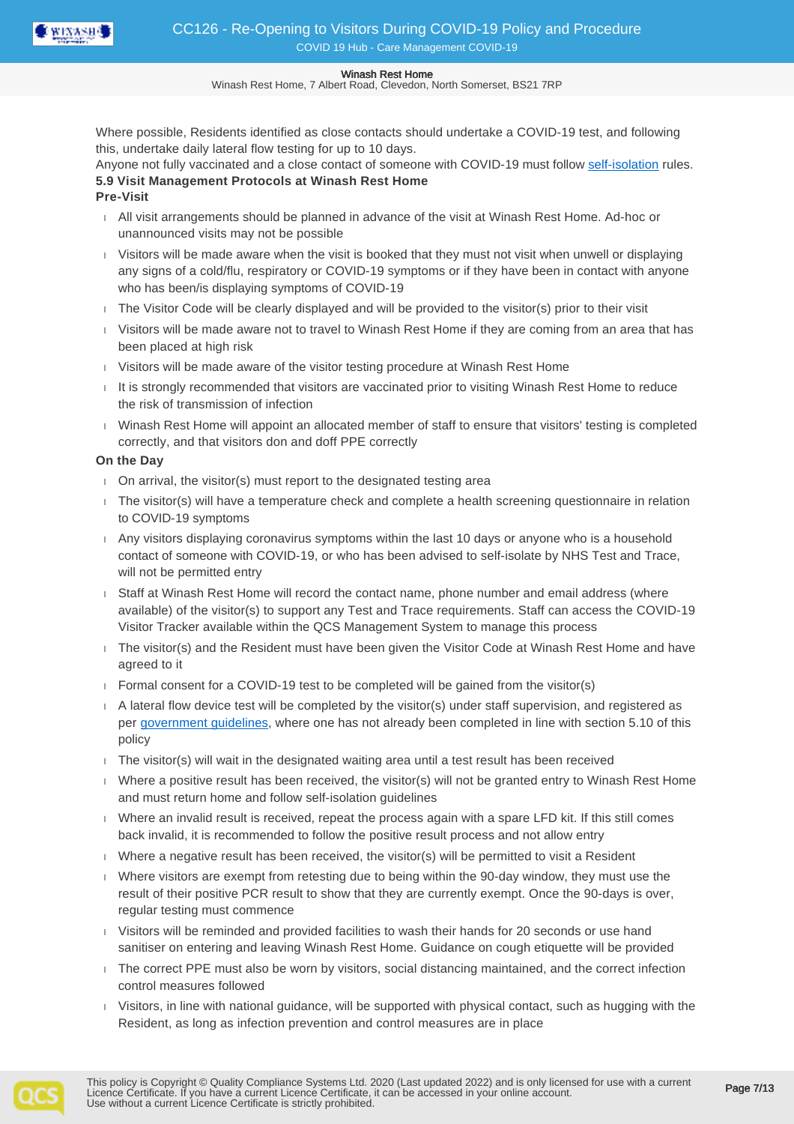

Winash Rest Home, 7 Albert Road, Clevedon, North Somerset, BS21 7RP

Where possible, Residents identified as close contacts should undertake a COVID-19 test, and following this, undertake daily lateral flow testing for up to 10 days.

Anyone not fully vaccinated and a close contact of someone with COVID-19 must follow [self-isolation](https://www.gov.uk/government/publications/covid-19-stay-at-home-guidance/stay-at-home-guidance-for-households-with-possible-coronavirus-covid-19-infection) rules. **5.9 Visit Management Protocols at Winash Rest Home**

**Pre-Visit**

- All visit arrangements should be planned in advance of the visit at Winash Rest Home. Ad-hoc or unannounced visits may not be possible
- Visitors will be made aware when the visit is booked that they must not visit when unwell or displaying any signs of a cold/flu, respiratory or COVID-19 symptoms or if they have been in contact with anyone who has been/is displaying symptoms of COVID-19
- The Visitor Code will be clearly displayed and will be provided to the visitor(s) prior to their visit
- Visitors will be made aware not to travel to Winash Rest Home if they are coming from an area that has been placed at high risk
- Visitors will be made aware of the visitor testing procedure at Winash Rest Home
- $I$  It is strongly recommended that visitors are vaccinated prior to visiting Winash Rest Home to reduce the risk of transmission of infection
- Winash Rest Home will appoint an allocated member of staff to ensure that visitors' testing is completed correctly, and that visitors don and doff PPE correctly

## **On the Day**

- On arrival, the visitor(s) must report to the designated testing area
- The visitor(s) will have a temperature check and complete a health screening questionnaire in relation to COVID-19 symptoms
- Any visitors displaying coronavirus symptoms within the last 10 days or anyone who is a household contact of someone with COVID-19, or who has been advised to self-isolate by NHS Test and Trace, will not be permitted entry
- Staff at Winash Rest Home will record the contact name, phone number and email address (where available) of the visitor(s) to support any Test and Trace requirements. Staff can access the COVID-19 Visitor Tracker available within the QCS Management System to manage this process
- The visitor(s) and the Resident must have been given the Visitor Code at Winash Rest Home and have agreed to it
- $\overline{P}$  Formal consent for a COVID-19 test to be completed will be gained from the visitor(s)
- A lateral flow device test will be completed by the visitor(s) under staff supervision, and registered as per [government guidelines](https://assets.publishing.service.gov.uk/government/uploads/system/uploads/attachment_data/file/967207/on-site_testing-for-adult-social-care-services.pdf), where one has not already been completed in line with section 5.10 of this policy
- $\overline{a}$  The visitor(s) will wait in the designated waiting area until a test result has been received
- Where a positive result has been received, the visitor(s) will not be granted entry to Winash Rest Home and must return home and follow self-isolation guidelines
- Where an invalid result is received, repeat the process again with a spare LFD kit. If this still comes back invalid, it is recommended to follow the positive result process and not allow entry
- Where a negative result has been received, the visitor(s) will be permitted to visit a Resident
- Where visitors are exempt from retesting due to being within the 90-day window, they must use the result of their positive PCR result to show that they are currently exempt. Once the 90-days is over, regular testing must commence
- Visitors will be reminded and provided facilities to wash their hands for 20 seconds or use hand sanitiser on entering and leaving Winash Rest Home. Guidance on cough etiquette will be provided
- The correct PPE must also be worn by visitors, social distancing maintained, and the correct infection control measures followed
- Visitors, in line with national guidance, will be supported with physical contact, such as hugging with the Resident, as long as infection prevention and control measures are in place

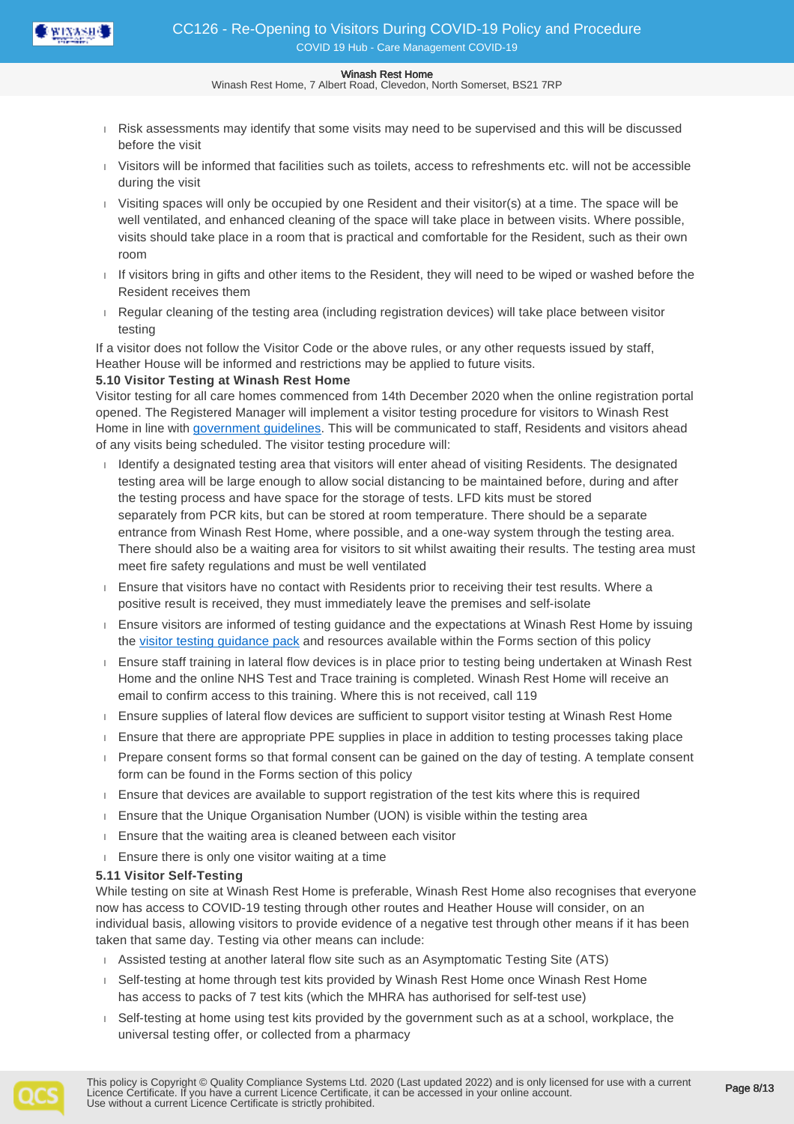

Winash Rest Home, 7 Albert Road, Clevedon, North Somerset, BS21 7RP

- Risk assessments may identify that some visits may need to be supervised and this will be discussed before the visit
- Visitors will be informed that facilities such as toilets, access to refreshments etc. will not be accessible during the visit
- $\frac{1}{1}$  Visiting spaces will only be occupied by one Resident and their visitor(s) at a time. The space will be well ventilated, and enhanced cleaning of the space will take place in between visits. Where possible, visits should take place in a room that is practical and comfortable for the Resident, such as their own room
- If visitors bring in gifts and other items to the Resident, they will need to be wiped or washed before the Resident receives them
- Regular cleaning of the testing area (including registration devices) will take place between visitor testing

If a visitor does not follow the Visitor Code or the above rules, or any other requests issued by staff, Heather House will be informed and restrictions may be applied to future visits.

## **5.10 Visitor Testing at Winash Rest Home**

Visitor testing for all care homes commenced from 14th December 2020 when the online registration portal opened. The Registered Manager will implement a visitor testing procedure for visitors to Winash Rest Home in line with [government guidelines.](https://www.gov.uk/government/publications/visiting-care-homes-during-coronavirus?utm_source=7d0bd3d6-8064-4f15-aed3-e4eea63f8b24&utm_medium=email&utm_campaign=govuk-notifications&utm_content=immediate) This will be communicated to staff, Residents and visitors ahead of any visits being scheduled. The visitor testing procedure will:

- Identify a designated testing area that visitors will enter ahead of visiting Residents. The designated testing area will be large enough to allow social distancing to be maintained before, during and after the testing process and have space for the storage of tests. LFD kits must be stored separately from PCR kits, but can be stored at room temperature. There should be a separate entrance from Winash Rest Home, where possible, and a one-way system through the testing area. There should also be a waiting area for visitors to sit whilst awaiting their results. The testing area must meet fire safety regulations and must be well ventilated
- Ensure that visitors have no contact with Residents prior to receiving their test results. Where a positive result is received, they must immediately leave the premises and self-isolate
- Ensure visitors are informed of testing guidance and the expectations at Winash Rest Home by issuing the [visitor testing guidance pack](https://www.gov.uk/government/publications/coronavirus-covid-19-testing-for-adult-social-care-settings) and resources available within the Forms section of this policy
- Ensure staff training in lateral flow devices is in place prior to testing being undertaken at Winash Rest Home and the online NHS Test and Trace training is completed. Winash Rest Home will receive an email to confirm access to this training. Where this is not received, call 119
- **Ensure supplies of lateral flow devices are sufficient to support visitor testing at Winash Rest Home**
- **Ensure that there are appropriate PPE supplies in place in addition to testing processes taking place**
- Prepare consent forms so that formal consent can be gained on the day of testing. A template consent form can be found in the Forms section of this policy
- **Ensure that devices are available to support registration of the test kits where this is required**
- Ensure that the Unique Organisation Number (UON) is visible within the testing area
- **Ensure that the waiting area is cleaned between each visitor**
- **Ensure there is only one visitor waiting at a time**

## **5.11 Visitor Self-Testing**

While testing on site at Winash Rest Home is preferable, Winash Rest Home also recognises that everyone now has access to COVID-19 testing through other routes and Heather House will consider, on an individual basis, allowing visitors to provide evidence of a negative test through other means if it has been taken that same day. Testing via other means can include:

- Assisted testing at another lateral flow site such as an Asymptomatic Testing Site (ATS)
- Self-testing at home through test kits provided by Winash Rest Home once Winash Rest Home has access to packs of 7 test kits (which the MHRA has authorised for self-test use)
- Self-testing at home using test kits provided by the government such as at a school, workplace, the universal testing offer, or collected from a pharmacy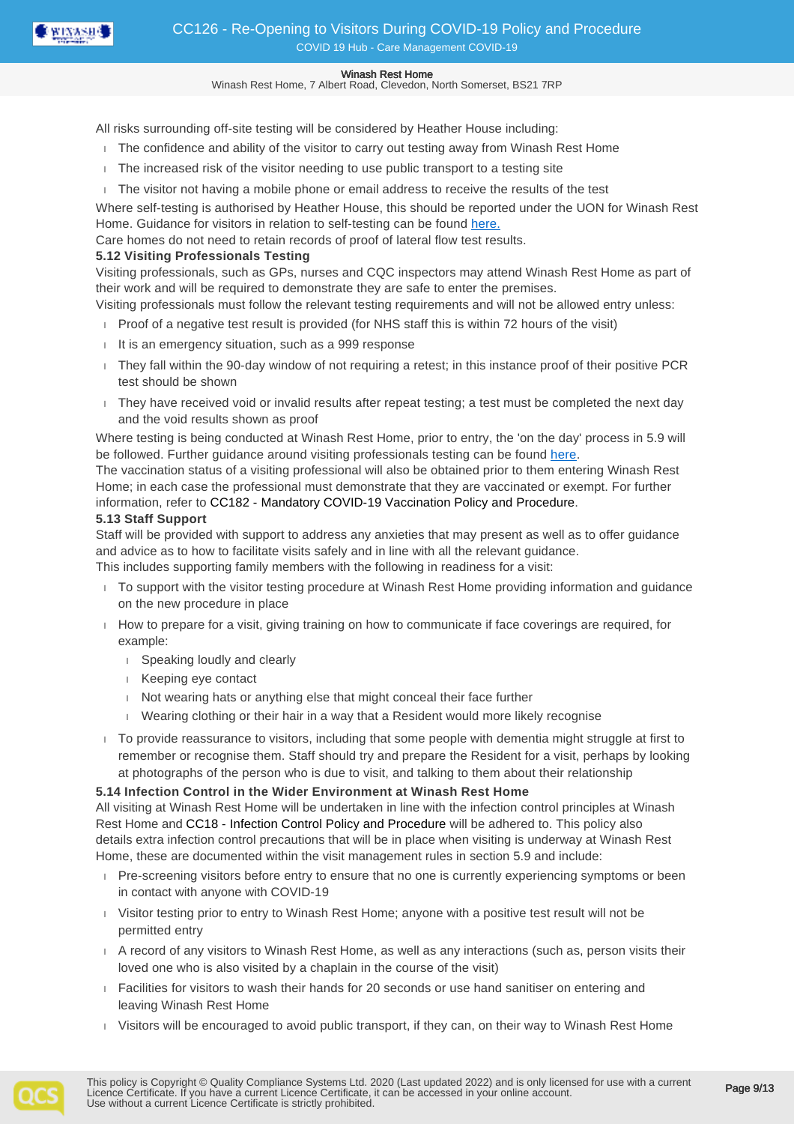

Winash Rest Home, 7 Albert Road, Clevedon, North Somerset, BS21 7RP

All risks surrounding off-site testing will be considered by Heather House including:

- The confidence and ability of the visitor to carry out testing away from Winash Rest Home
- The increased risk of the visitor needing to use public transport to a testing site
- The visitor not having a mobile phone or email address to receive the results of the test

Where self-testing is authorised by Heather House, this should be reported under the UON for Winash Rest Home. Guidance for visitors in relation to self-testing can be found [here.](https://www.gov.uk/government/publications/coronavirus-covid-19-testing-for-adult-social-care-settings)

Care homes do not need to retain records of proof of lateral flow test results.

### **5.12 Visiting Professionals Testing**

Visiting professionals, such as GPs, nurses and CQC inspectors may attend Winash Rest Home as part of their work and will be required to demonstrate they are safe to enter the premises.

- Visiting professionals must follow the relevant testing requirements and will not be allowed entry unless:
- Proof of a negative test result is provided (for NHS staff this is within 72 hours of the visit)
- $I$  It is an emergency situation, such as a 999 response
- They fall within the 90-day window of not requiring a retest; in this instance proof of their positive PCR test should be shown
- They have received void or invalid results after repeat testing; a test must be completed the next day and the void results shown as proof

Where testing is being conducted at Winash Rest Home, prior to entry, the 'on the day' process in 5.9 will be followed. Further guidance around visiting professionals testing can be found [here](https://www.gov.uk/government/publications/coronavirus-covid-19-testing-in-adult-care-homes/testing-for-professionals-visiting-care-homes).

The vaccination status of a visiting professional will also be obtained prior to them entering Winash Rest Home; in each case the professional must demonstrate that they are vaccinated or exempt. For further information, refer to CC182 - Mandatory COVID-19 Vaccination Policy and Procedure.

## **5.13 Staff Support**

Staff will be provided with support to address any anxieties that may present as well as to offer guidance and advice as to how to facilitate visits safely and in line with all the relevant guidance.

This includes supporting family members with the following in readiness for a visit:

- To support with the visitor testing procedure at Winash Rest Home providing information and guidance on the new procedure in place
- $\Box$  How to prepare for a visit, giving training on how to communicate if face coverings are required, for example:
	- speaking loudly and clearly
	- Keeping eye contact
	- Not wearing hats or anything else that might conceal their face further
	- Wearing clothing or their hair in a way that a Resident would more likely recognise
- To provide reassurance to visitors, including that some people with dementia might struggle at first to remember or recognise them. Staff should try and prepare the Resident for a visit, perhaps by looking at photographs of the person who is due to visit, and talking to them about their relationship

## **5.14 Infection Control in the Wider Environment at Winash Rest Home**

All visiting at Winash Rest Home will be undertaken in line with the infection control principles at Winash Rest Home and CC18 - Infection Control Policy and Procedure will be adhered to. This policy also details extra infection control precautions that will be in place when visiting is underway at Winash Rest Home, these are documented within the visit management rules in section 5.9 and include:

- Pre-screening visitors before entry to ensure that no one is currently experiencing symptoms or been in contact with anyone with COVID-19
- Visitor testing prior to entry to Winash Rest Home; anyone with a positive test result will not be permitted entry
- A record of any visitors to Winash Rest Home, as well as any interactions (such as, person visits their loved one who is also visited by a chaplain in the course of the visit)
- Facilities for visitors to wash their hands for 20 seconds or use hand sanitiser on entering and leaving Winash Rest Home
- Visitors will be encouraged to avoid public transport, if they can, on their way to Winash Rest Home

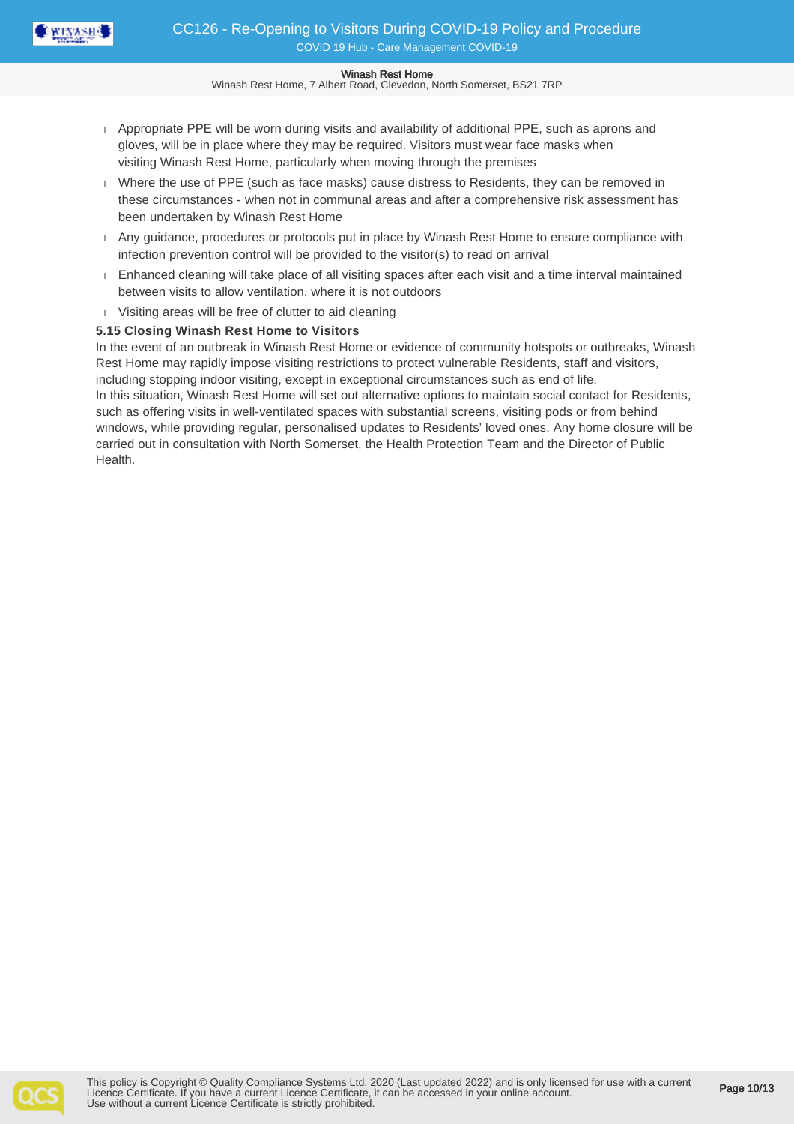

Winash Rest Home, 7 Albert Road, Clevedon, North Somerset, BS21 7RP

- Appropriate PPE will be worn during visits and availability of additional PPE, such as aprons and gloves, will be in place where they may be required. Visitors must wear face masks when visiting Winash Rest Home, particularly when moving through the premises
- Where the use of PPE (such as face masks) cause distress to Residents, they can be removed in these circumstances - when not in communal areas and after a comprehensive risk assessment has been undertaken by Winash Rest Home
- Any guidance, procedures or protocols put in place by Winash Rest Home to ensure compliance with infection prevention control will be provided to the visitor(s) to read on arrival
- Enhanced cleaning will take place of all visiting spaces after each visit and a time interval maintained between visits to allow ventilation, where it is not outdoors
- Visiting areas will be free of clutter to aid cleaning

## **5.15 Closing Winash Rest Home to Visitors**

In the event of an outbreak in Winash Rest Home or evidence of community hotspots or outbreaks, Winash Rest Home may rapidly impose visiting restrictions to protect vulnerable Residents, staff and visitors, including stopping indoor visiting, except in exceptional circumstances such as end of life. In this situation, Winash Rest Home will set out alternative options to maintain social contact for Residents, such as offering visits in well-ventilated spaces with substantial screens, visiting pods or from behind windows, while providing regular, personalised updates to Residents' loved ones. Any home closure will be carried out in consultation with North Somerset, the Health Protection Team and the Director of Public Health.

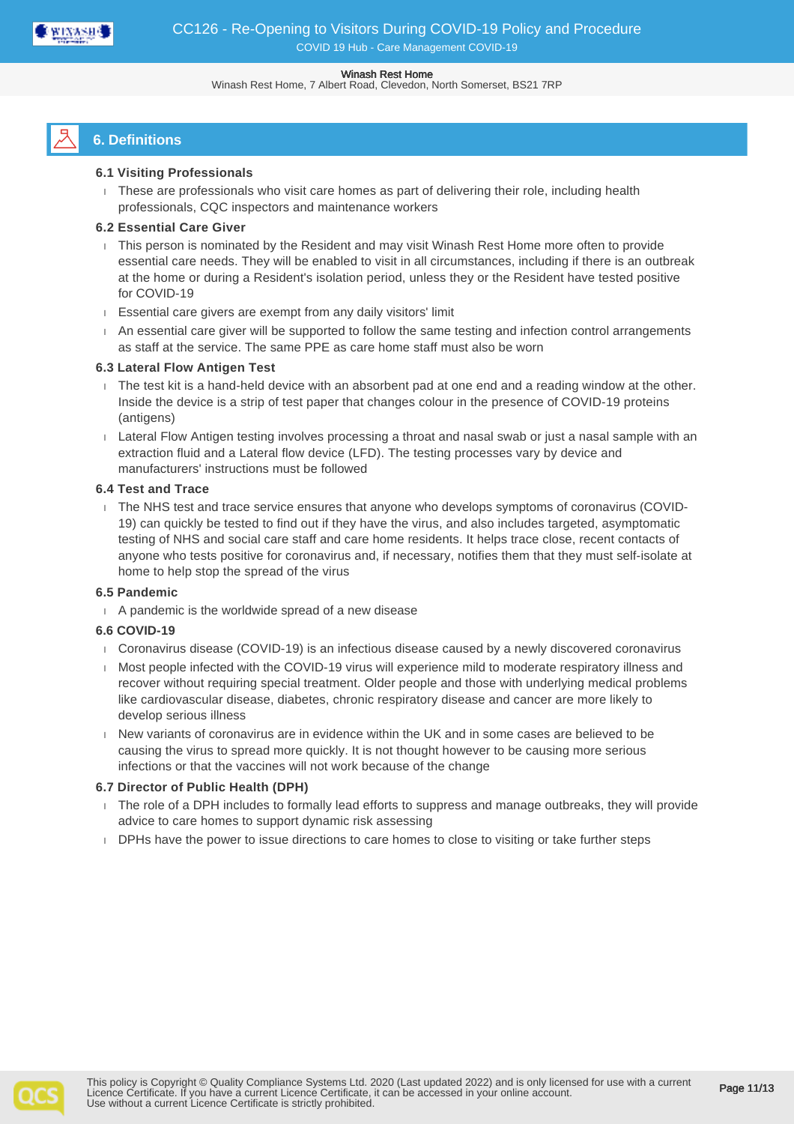

Winash Rest Home, 7 Albert Road, Clevedon, North Somerset, BS21 7RP

# **6. Definitions**

## **6.1 Visiting Professionals**

These are professionals who visit care homes as part of delivering their role, including health professionals, CQC inspectors and maintenance workers

## **6.2 Essential Care Giver**

- This person is nominated by the Resident and may visit Winash Rest Home more often to provide essential care needs. They will be enabled to visit in all circumstances, including if there is an outbreak at the home or during a Resident's isolation period, unless they or the Resident have tested positive for COVID-19
- Essential care givers are exempt from any daily visitors' limit
- An essential care giver will be supported to follow the same testing and infection control arrangements as staff at the service. The same PPE as care home staff must also be worn

## **6.3 Lateral Flow Antigen Test**

- The test kit is a hand-held device with an absorbent pad at one end and a reading window at the other. Inside the device is a strip of test paper that changes colour in the presence of COVID-19 proteins (antigens)
- Lateral Flow Antigen testing involves processing a throat and nasal swab or just a nasal sample with an extraction fluid and a Lateral flow device (LFD). The testing processes vary by device and manufacturers' instructions must be followed

## **6.4 Test and Trace**

 The NHS test and trace service ensures that anyone who develops symptoms of coronavirus (COVID-19) can quickly be tested to find out if they have the virus, and also includes targeted, asymptomatic testing of NHS and social care staff and care home residents. It helps trace close, recent contacts of anyone who tests positive for coronavirus and, if necessary, notifies them that they must self-isolate at home to help stop the spread of the virus

## **6.5 Pandemic**

A pandemic is the worldwide spread of a new disease

## **6.6 COVID-19**

- Coronavirus disease (COVID-19) is an infectious disease caused by a newly discovered coronavirus
- Most people infected with the COVID-19 virus will experience mild to moderate respiratory illness and recover without requiring special treatment. Older people and those with underlying medical problems like cardiovascular disease, diabetes, chronic respiratory disease and cancer are more likely to develop serious illness
- New variants of coronavirus are in evidence within the UK and in some cases are believed to be causing the virus to spread more quickly. It is not thought however to be causing more serious infections or that the vaccines will not work because of the change

## **6.7 Director of Public Health (DPH)**

- The role of a DPH includes to formally lead efforts to suppress and manage outbreaks, they will provide advice to care homes to support dynamic risk assessing
- DPHs have the power to issue directions to care homes to close to visiting or take further steps

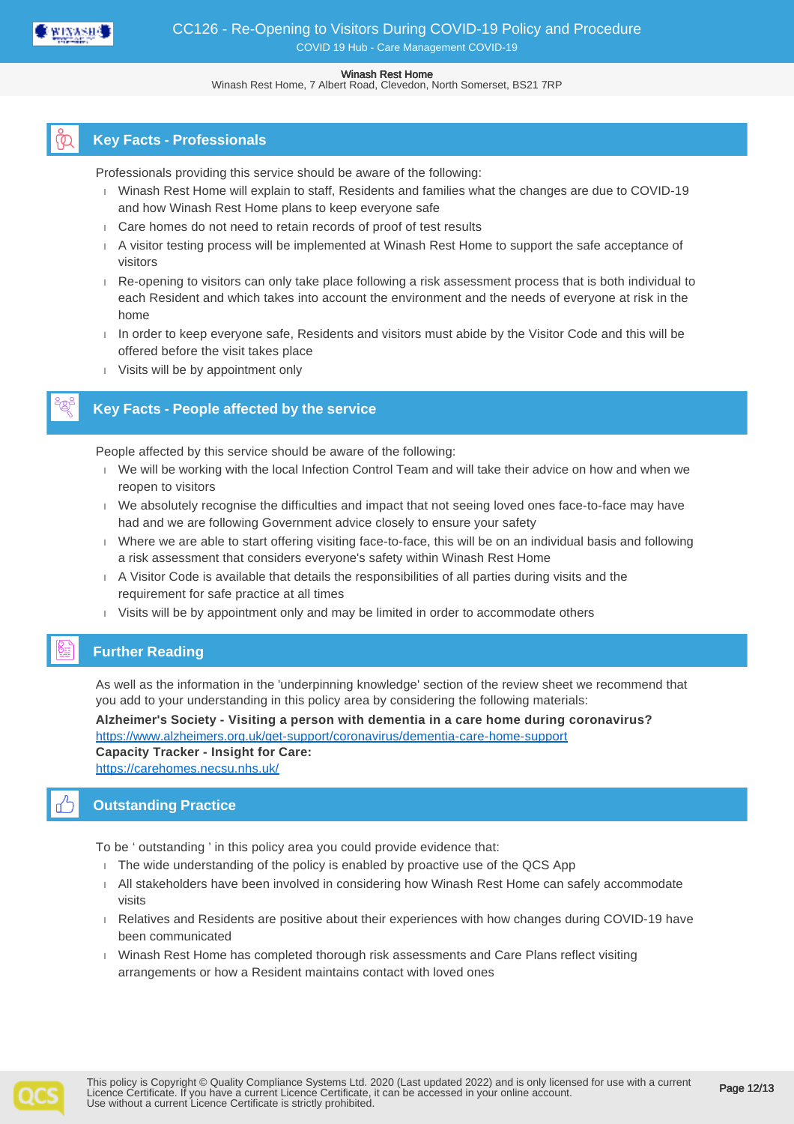

Winash Rest Home, 7 Albert Road, Clevedon, North Somerset, BS21 7RP

## **Key Facts - Professionals**

Professionals providing this service should be aware of the following:

- Winash Rest Home will explain to staff, Residents and families what the changes are due to COVID-19 and how Winash Rest Home plans to keep everyone safe
- Care homes do not need to retain records of proof of test results
- A visitor testing process will be implemented at Winash Rest Home to support the safe acceptance of visitors
- Re-opening to visitors can only take place following a risk assessment process that is both individual to each Resident and which takes into account the environment and the needs of everyone at risk in the home
- $\Box$  In order to keep everyone safe, Residents and visitors must abide by the Visitor Code and this will be offered before the visit takes place
- Visits will be by appointment only

## **Key Facts - People affected by the service**

People affected by this service should be aware of the following:

- We will be working with the local Infection Control Team and will take their advice on how and when we reopen to visitors
- We absolutely recognise the difficulties and impact that not seeing loved ones face-to-face may have had and we are following Government advice closely to ensure your safety
- Where we are able to start offering visiting face-to-face, this will be on an individual basis and following a risk assessment that considers everyone's safety within Winash Rest Home
- A Visitor Code is available that details the responsibilities of all parties during visits and the requirement for safe practice at all times
- Visits will be by appointment only and may be limited in order to accommodate others

## **Further Reading**

As well as the information in the 'underpinning knowledge' section of the review sheet we recommend that you add to your understanding in this policy area by considering the following materials:

**Alzheimer's Society - Visiting a person with dementia in a care home during coronavirus?** <https://www.alzheimers.org.uk/get-support/coronavirus/dementia-care-home-support> **Capacity Tracker - Insight for Care:** <https://carehomes.necsu.nhs.uk/>

## **Outstanding Practice**

To be ' outstanding ' in this policy area you could provide evidence that:

- $\overline{1}$ . The wide understanding of the policy is enabled by proactive use of the QCS App
- All stakeholders have been involved in considering how Winash Rest Home can safely accommodate visits
- Relatives and Residents are positive about their experiences with how changes during COVID-19 have been communicated
- Winash Rest Home has completed thorough risk assessments and Care Plans reflect visiting arrangements or how a Resident maintains contact with loved ones



Page 12/13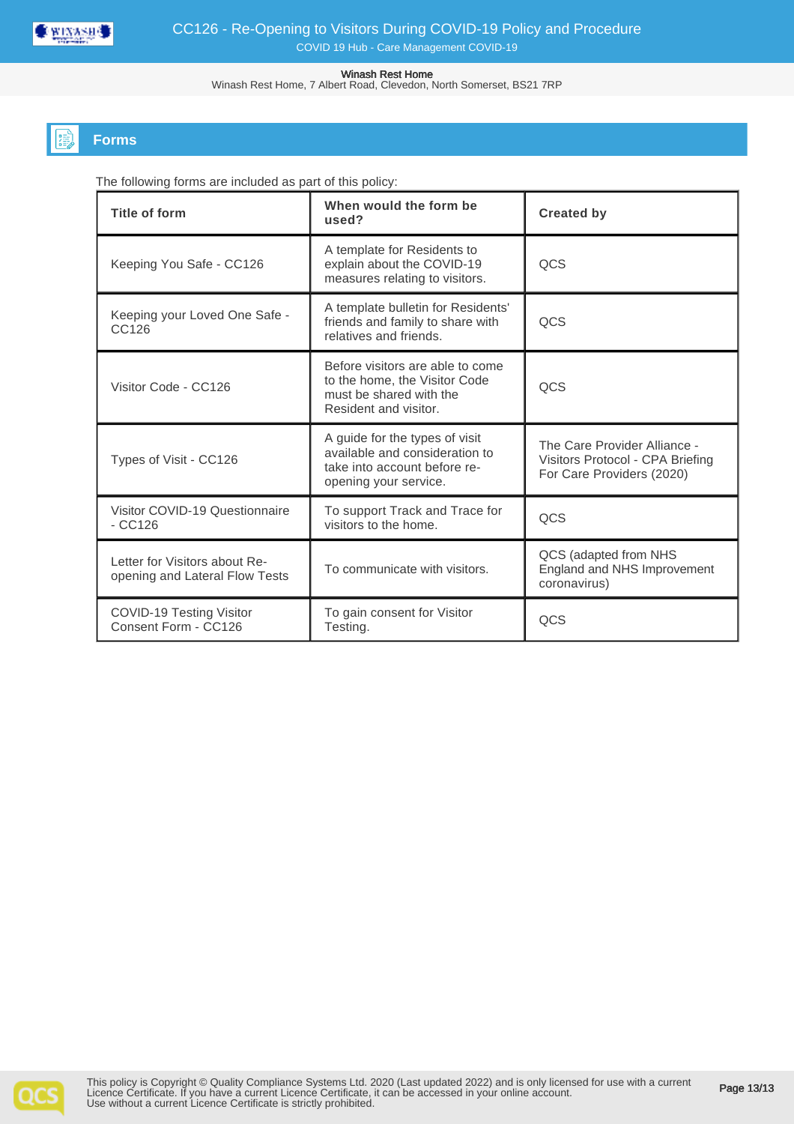

Winash Rest Home, 7 Albert Road, Clevedon, North Somerset, BS21 7RP

## **Forms**

The following forms are included as part of this policy:

| <b>Title of form</b>                                            | When would the form be<br>used?                                                                                           | <b>Created by</b>                                                                             |  |
|-----------------------------------------------------------------|---------------------------------------------------------------------------------------------------------------------------|-----------------------------------------------------------------------------------------------|--|
| Keeping You Safe - CC126                                        | A template for Residents to<br>explain about the COVID-19<br>measures relating to visitors.                               | QCS                                                                                           |  |
| Keeping your Loved One Safe -<br>CC126                          | A template bulletin for Residents'<br>friends and family to share with<br>relatives and friends.                          | QCS                                                                                           |  |
| Visitor Code - CC126                                            | Before visitors are able to come<br>to the home, the Visitor Code<br>must be shared with the<br>Resident and visitor.     | QCS                                                                                           |  |
| Types of Visit - CC126                                          | A guide for the types of visit<br>available and consideration to<br>take into account before re-<br>opening your service. | The Care Provider Alliance -<br>Visitors Protocol - CPA Briefing<br>For Care Providers (2020) |  |
| Visitor COVID-19 Questionnaire<br>$-CC126$                      | To support Track and Trace for<br>visitors to the home.                                                                   | QCS                                                                                           |  |
| Letter for Visitors about Re-<br>opening and Lateral Flow Tests | To communicate with visitors.                                                                                             | QCS (adapted from NHS<br>England and NHS Improvement<br>coronavirus)                          |  |
| COVID-19 Testing Visitor<br>Consent Form - CC126                | To gain consent for Visitor<br>Testing.                                                                                   | QCS                                                                                           |  |

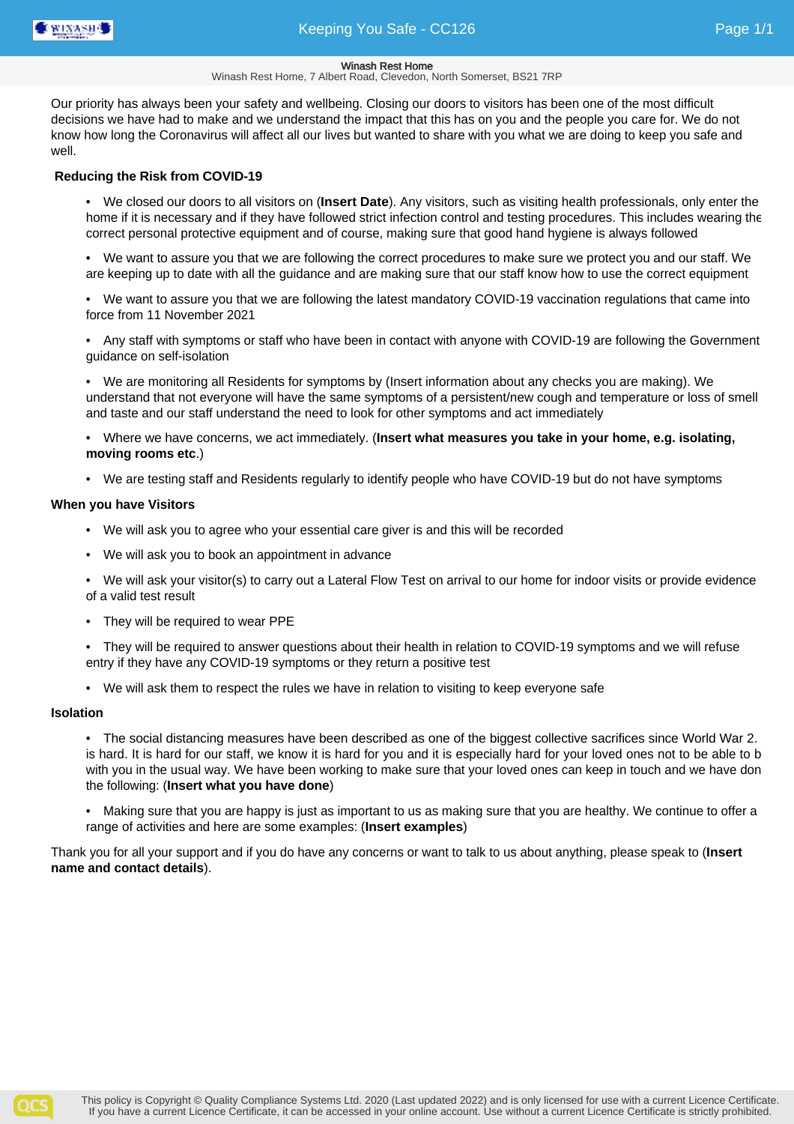

Winash Rest Home, 7 Albert Road, Clevedon, North Somerset, BS21 7RP

Our priority has always been your safety and wellbeing. Closing our doors to visitors has been one of the most difficult decisions we have had to make and we understand the impact that this has on you and the people you care for. We do not know how long the Coronavirus will affect all our lives but wanted to share with you what we are doing to keep you safe and well.

## **Reducing the Risk from COVID-19**

• We closed our doors to all visitors on (**Insert Date**). Any visitors, such as visiting health professionals, only enter the home if it is necessary and if they have followed strict infection control and testing procedures. This includes wearing the correct personal protective equipment and of course, making sure that good hand hygiene is always followed

• We want to assure you that we are following the correct procedures to make sure we protect you and our staff. We are keeping up to date with all the guidance and are making sure that our staff know how to use the correct equipment

• We want to assure you that we are following the latest mandatory COVID-19 vaccination regulations that came into force from 11 November 2021

• Any staff with symptoms or staff who have been in contact with anyone with COVID-19 are following the Government guidance on self-isolation

• We are monitoring all Residents for symptoms by (Insert information about any checks you are making). We understand that not everyone will have the same symptoms of a persistent/new cough and temperature or loss of smell and taste and our staff understand the need to look for other symptoms and act immediately

• Where we have concerns, we act immediately. (**Insert what measures you take in your home, e.g. isolating, moving rooms etc**.)

• We are testing staff and Residents regularly to identify people who have COVID-19 but do not have symptoms

### **When you have Visitors**

- We will ask you to agree who your essential care giver is and this will be recorded
- We will ask you to book an appointment in advance

• We will ask your visitor(s) to carry out a Lateral Flow Test on arrival to our home for indoor visits or provide evidence of a valid test result

• They will be required to wear PPE

• They will be required to answer questions about their health in relation to COVID-19 symptoms and we will refuse entry if they have any COVID-19 symptoms or they return a positive test

• We will ask them to respect the rules we have in relation to visiting to keep everyone safe

### **Isolation**

• The social distancing measures have been described as one of the biggest collective sacrifices since World War 2. is hard. It is hard for our staff, we know it is hard for you and it is especially hard for your loved ones not to be able to be with you in the usual way. We have been working to make sure that your loved ones can keep in touch and we have don the following: (**Insert what you have done**)

• Making sure that you are happy is just as important to us as making sure that you are healthy. We continue to offer a range of activities and here are some examples: (**Insert examples**)

Thank you for all your support and if you do have any concerns or want to talk to us about anything, please speak to (**Insert name and contact details**).

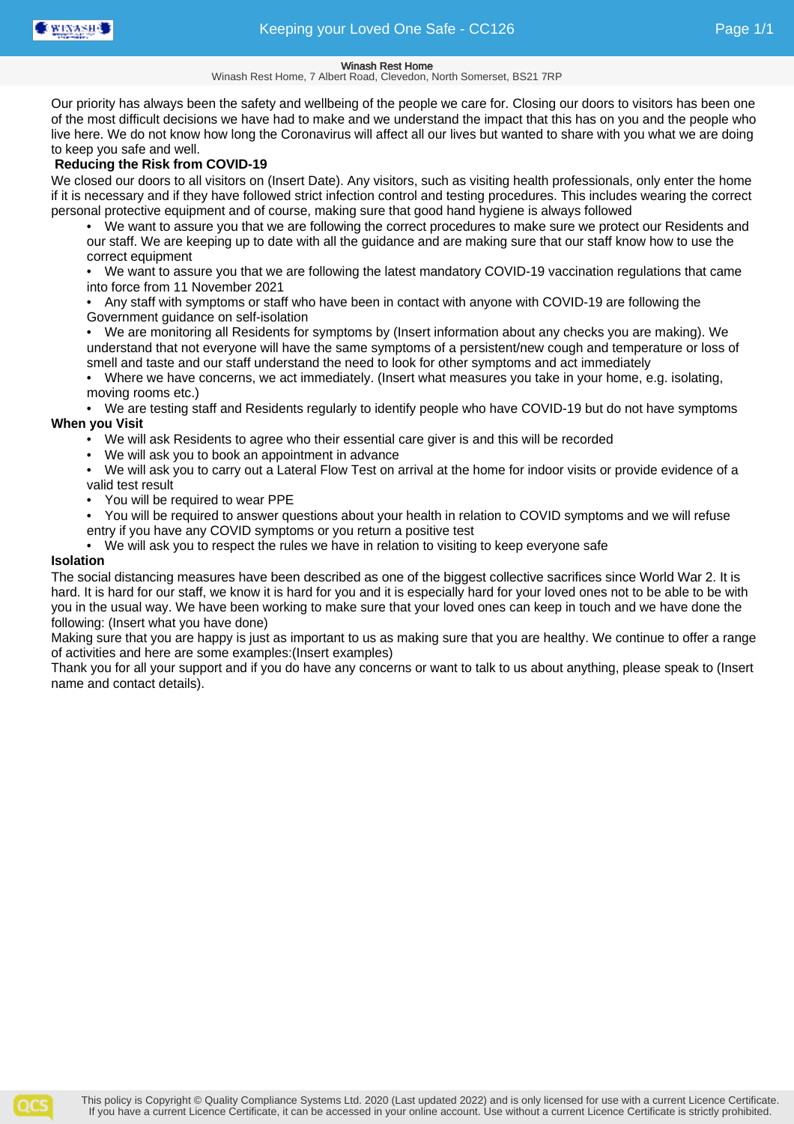Winash Rest Home, 7 Albert Road, Clevedon, North Somerset, BS21 7RP

Our priority has always been the safety and wellbeing of the people we care for. Closing our doors to visitors has been one of the most difficult decisions we have had to make and we understand the impact that this has on you and the people who live here. We do not know how long the Coronavirus will affect all our lives but wanted to share with you what we are doing to keep you safe and well.

## **Reducing the Risk from COVID-19**

We closed our doors to all visitors on (Insert Date). Any visitors, such as visiting health professionals, only enter the home if it is necessary and if they have followed strict infection control and testing procedures. This includes wearing the correct personal protective equipment and of course, making sure that good hand hygiene is always followed

• We want to assure you that we are following the correct procedures to make sure we protect our Residents and our staff. We are keeping up to date with all the guidance and are making sure that our staff know how to use the correct equipment

• We want to assure you that we are following the latest mandatory COVID-19 vaccination regulations that came into force from 11 November 2021

• Any staff with symptoms or staff who have been in contact with anyone with COVID-19 are following the Government guidance on self-isolation

• We are monitoring all Residents for symptoms by (Insert information about any checks you are making). We understand that not everyone will have the same symptoms of a persistent/new cough and temperature or loss of smell and taste and our staff understand the need to look for other symptoms and act immediately

• Where we have concerns, we act immediately. (Insert what measures you take in your home, e.g. isolating, moving rooms etc.)

• We are testing staff and Residents regularly to identify people who have COVID-19 but do not have symptoms **When you Visit**

- We will ask Residents to agree who their essential care giver is and this will be recorded
- We will ask you to book an appointment in advance

• We will ask you to carry out a Lateral Flow Test on arrival at the home for indoor visits or provide evidence of a valid test result

- You will be required to wear PPE
- You will be required to answer questions about your health in relation to COVID symptoms and we will refuse entry if you have any COVID symptoms or you return a positive test
- We will ask you to respect the rules we have in relation to visiting to keep everyone safe

### **Isolation**

The social distancing measures have been described as one of the biggest collective sacrifices since World War 2. It is hard. It is hard for our staff, we know it is hard for you and it is especially hard for your loved ones not to be able to be with you in the usual way. We have been working to make sure that your loved ones can keep in touch and we have done the following: (Insert what you have done)

Making sure that you are happy is just as important to us as making sure that you are healthy. We continue to offer a range of activities and here are some examples:(Insert examples)

Thank you for all your support and if you do have any concerns or want to talk to us about anything, please speak to (Insert name and contact details).

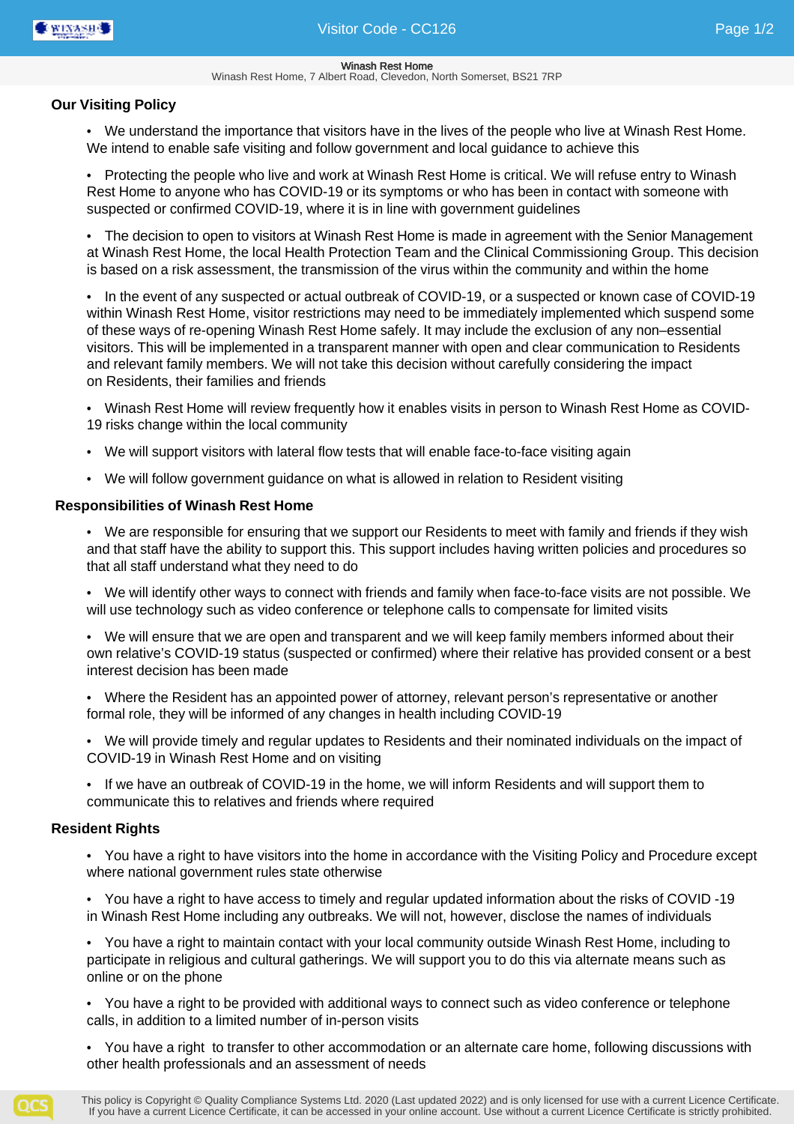#### Winash Rest Home Winash Rest Home, 7 Albert Road, Clevedon, North Somerset, BS21 7RP

## **Our Visiting Policy**

• We understand the importance that visitors have in the lives of the people who live at Winash Rest Home. We intend to enable safe visiting and follow government and local guidance to achieve this

• Protecting the people who live and work at Winash Rest Home is critical. We will refuse entry to Winash Rest Home to anyone who has COVID-19 or its symptoms or who has been in contact with someone with suspected or confirmed COVID-19, where it is in line with government guidelines

• The decision to open to visitors at Winash Rest Home is made in agreement with the Senior Management at Winash Rest Home, the local Health Protection Team and the Clinical Commissioning Group. This decision is based on a risk assessment, the transmission of the virus within the community and within the home

• In the event of any suspected or actual outbreak of COVID-19, or a suspected or known case of COVID-19 within Winash Rest Home, visitor restrictions may need to be immediately implemented which suspend some of these ways of re-opening Winash Rest Home safely. It may include the exclusion of any non–essential visitors. This will be implemented in a transparent manner with open and clear communication to Residents and relevant family members. We will not take this decision without carefully considering the impact on Residents, their families and friends

• Winash Rest Home will review frequently how it enables visits in person to Winash Rest Home as COVID-19 risks change within the local community

- We will support visitors with lateral flow tests that will enable face-to-face visiting again
- We will follow government guidance on what is allowed in relation to Resident visiting

## **Responsibilities of Winash Rest Home**

• We are responsible for ensuring that we support our Residents to meet with family and friends if they wish and that staff have the ability to support this. This support includes having written policies and procedures so that all staff understand what they need to do

• We will identify other ways to connect with friends and family when face-to-face visits are not possible. We will use technology such as video conference or telephone calls to compensate for limited visits

• We will ensure that we are open and transparent and we will keep family members informed about their own relative's COVID-19 status (suspected or confirmed) where their relative has provided consent or a best interest decision has been made

• Where the Resident has an appointed power of attorney, relevant person's representative or another formal role, they will be informed of any changes in health including COVID-19

• We will provide timely and regular updates to Residents and their nominated individuals on the impact of COVID-19 in Winash Rest Home and on visiting

• If we have an outbreak of COVID-19 in the home, we will inform Residents and will support them to communicate this to relatives and friends where required

## **Resident Rights**

• You have a right to have visitors into the home in accordance with the Visiting Policy and Procedure except where national government rules state otherwise

• You have a right to have access to timely and regular updated information about the risks of COVID -19 in Winash Rest Home including any outbreaks. We will not, however, disclose the names of individuals

• You have a right to maintain contact with your local community outside Winash Rest Home, including to participate in religious and cultural gatherings. We will support you to do this via alternate means such as online or on the phone

• You have a right to be provided with additional ways to connect such as video conference or telephone calls, in addition to a limited number of in-person visits

• You have a right to transfer to other accommodation or an alternate care home, following discussions with other health professionals and an assessment of needs

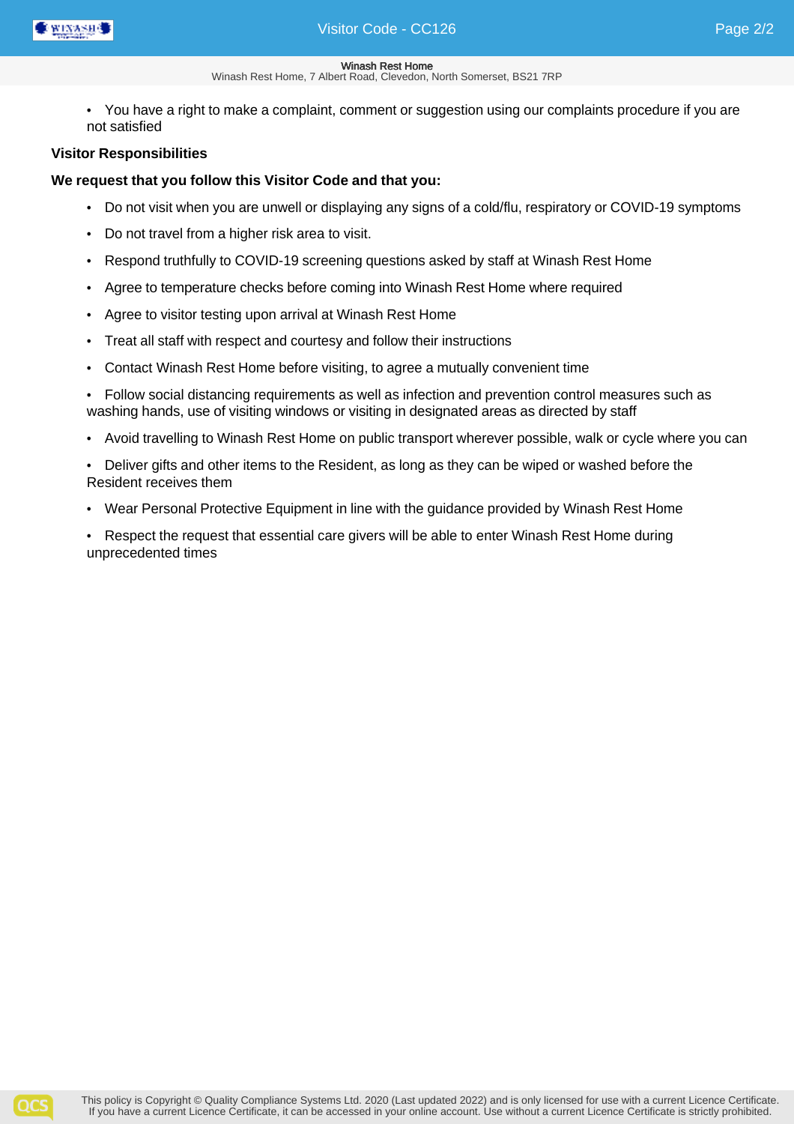- Winash Rest Home, 7 Albert Road, Clevedon, North Somerset, BS21 7RP
- You have a right to make a complaint, comment or suggestion using our complaints procedure if you are not satisfied

## **Visitor Responsibilities**

## **We request that you follow this Visitor Code and that you:**

- Do not visit when you are unwell or displaying any signs of a cold/flu, respiratory or COVID-19 symptoms
- Do not travel from a higher risk area to visit.
- Respond truthfully to COVID-19 screening questions asked by staff at Winash Rest Home
- Agree to temperature checks before coming into Winash Rest Home where required
- Agree to visitor testing upon arrival at Winash Rest Home
- Treat all staff with respect and courtesy and follow their instructions
- Contact Winash Rest Home before visiting, to agree a mutually convenient time
- Follow social distancing requirements as well as infection and prevention control measures such as washing hands, use of visiting windows or visiting in designated areas as directed by staff
- Avoid travelling to Winash Rest Home on public transport wherever possible, walk or cycle where you can
- Deliver gifts and other items to the Resident, as long as they can be wiped or washed before the Resident receives them
- Wear Personal Protective Equipment in line with the guidance provided by Winash Rest Home
- Respect the request that essential care givers will be able to enter Winash Rest Home during unprecedented times

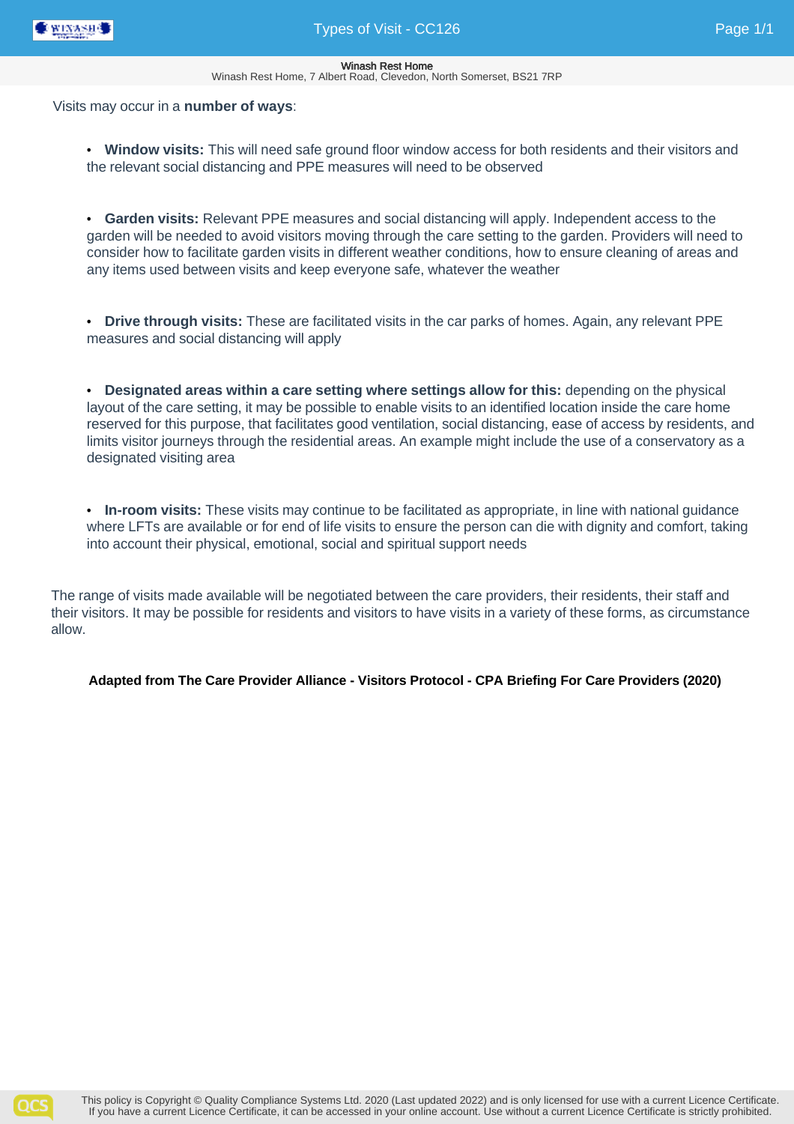

Winash Rest Home, 7 Albert Road, Clevedon, North Somerset, BS21 7RP

### Visits may occur in a **number of ways**:

• **Window visits:** This will need safe ground floor window access for both residents and their visitors and the relevant social distancing and PPE measures will need to be observed

• **Garden visits:** Relevant PPE measures and social distancing will apply. Independent access to the garden will be needed to avoid visitors moving through the care setting to the garden. Providers will need to consider how to facilitate garden visits in different weather conditions, how to ensure cleaning of areas and any items used between visits and keep everyone safe, whatever the weather

• **Drive through visits:** These are facilitated visits in the car parks of homes. Again, any relevant PPE measures and social distancing will apply

• **Designated areas within a care setting where settings allow for this:** depending on the physical layout of the care setting, it may be possible to enable visits to an identified location inside the care home reserved for this purpose, that facilitates good ventilation, social distancing, ease of access by residents, and limits visitor journeys through the residential areas. An example might include the use of a conservatory as a designated visiting area

• **In-room visits:** These visits may continue to be facilitated as appropriate, in line with national guidance where LFTs are available or for end of life visits to ensure the person can die with dignity and comfort, taking into account their physical, emotional, social and spiritual support needs

The range of visits made available will be negotiated between the care providers, their residents, their staff and their visitors. It may be possible for residents and visitors to have visits in a variety of these forms, as circumstance allow.

**Adapted from The Care Provider Alliance - Visitors Protocol - CPA Briefing For Care Providers (2020)**

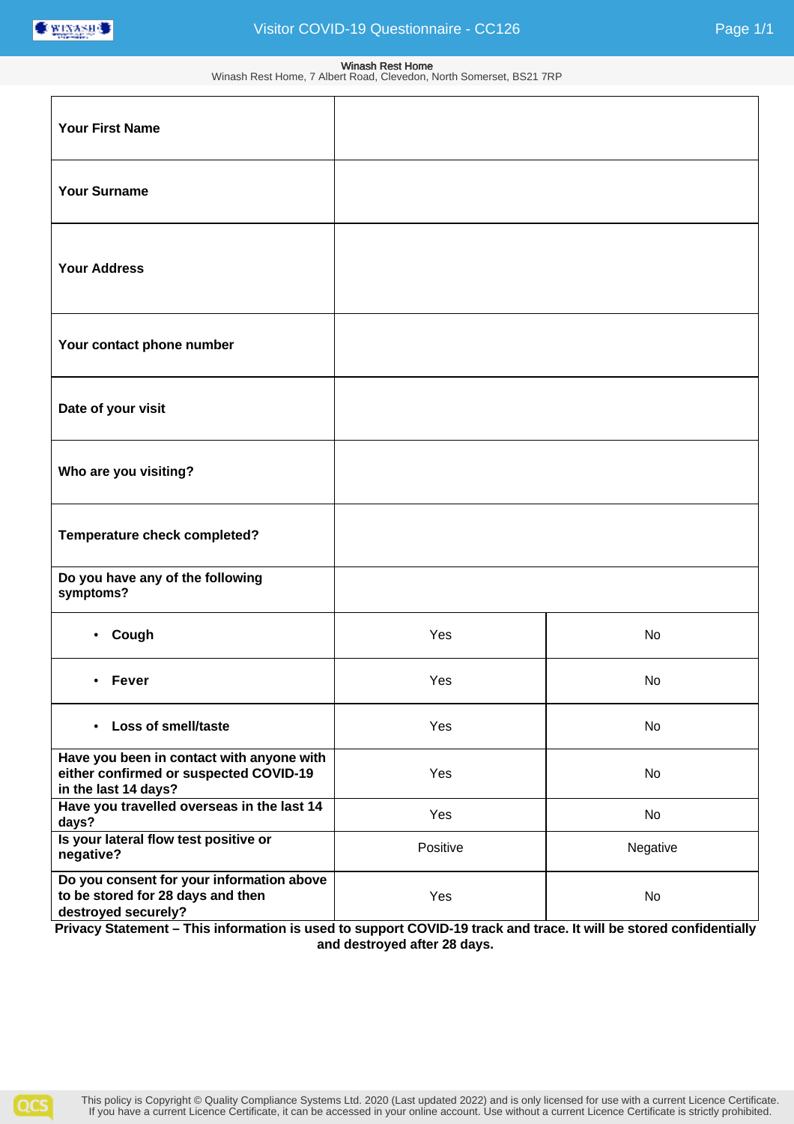

#### Winash Rest Home Winash Rest Home, 7 Albert Road, Clevedon, North Somerset, BS21 7RP

| <b>Your First Name</b>                                                                                      |          |          |
|-------------------------------------------------------------------------------------------------------------|----------|----------|
| <b>Your Surname</b>                                                                                         |          |          |
| <b>Your Address</b>                                                                                         |          |          |
| Your contact phone number                                                                                   |          |          |
| Date of your visit                                                                                          |          |          |
| Who are you visiting?                                                                                       |          |          |
| Temperature check completed?                                                                                |          |          |
| Do you have any of the following<br>symptoms?                                                               |          |          |
| • Cough                                                                                                     | Yes      | No       |
| <b>Fever</b><br>٠                                                                                           | Yes      | No       |
| <b>Loss of smell/taste</b><br>$\bullet$                                                                     | Yes      | No       |
| Have you been in contact with anyone with<br>either confirmed or suspected COVID-19<br>in the last 14 days? | Yes      | No       |
| Have you travelled overseas in the last 14<br>days?                                                         | Yes      | No       |
| Is your lateral flow test positive or<br>negative?                                                          | Positive | Negative |
| Do you consent for your information above<br>to be stored for 28 days and then<br>destroyed securely?       | Yes      | No       |

**Privacy Statement – This information is used to support COVID-19 track and trace. It will be stored confidentially and destroyed after 28 days.**

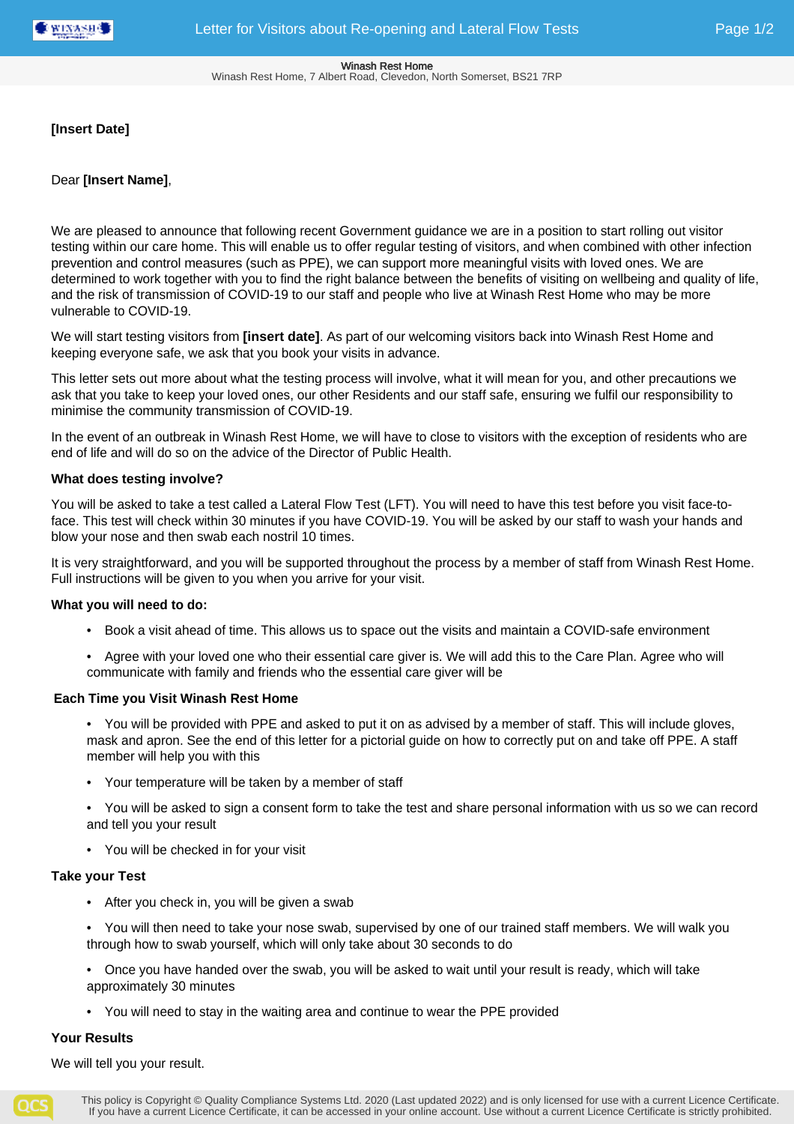#### Winash Rest Home Winash Rest Home, 7 Albert Road, Clevedon, North Somerset, BS21 7RP

## **[Insert Date]**

## Dear **[Insert Name]**,

We are pleased to announce that following recent Government guidance we are in a position to start rolling out visitor testing within our care home. This will enable us to offer regular testing of visitors, and when combined with other infection prevention and control measures (such as PPE), we can support more meaningful visits with loved ones. We are determined to work together with you to find the right balance between the benefits of visiting on wellbeing and quality of life, and the risk of transmission of COVID-19 to our staff and people who live at Winash Rest Home who may be more vulnerable to COVID-19.

We will start testing visitors from **[insert date]**. As part of our welcoming visitors back into Winash Rest Home and keeping everyone safe, we ask that you book your visits in advance.

This letter sets out more about what the testing process will involve, what it will mean for you, and other precautions we ask that you take to keep your loved ones, our other Residents and our staff safe, ensuring we fulfil our responsibility to minimise the community transmission of COVID-19.

In the event of an outbreak in Winash Rest Home, we will have to close to visitors with the exception of residents who are end of life and will do so on the advice of the Director of Public Health.

## **What does testing involve?**

You will be asked to take a test called a Lateral Flow Test (LFT). You will need to have this test before you visit face-toface. This test will check within 30 minutes if you have COVID-19. You will be asked by our staff to wash your hands and blow your nose and then swab each nostril 10 times.

It is very straightforward, and you will be supported throughout the process by a member of staff from Winash Rest Home. Full instructions will be given to you when you arrive for your visit.

## **What you will need to do:**

- Book a visit ahead of time. This allows us to space out the visits and maintain a COVID-safe environment
- Agree with your loved one who their essential care giver is. We will add this to the Care Plan. Agree who will communicate with family and friends who the essential care giver will be

## **Each Time you Visit Winash Rest Home**

- You will be provided with PPE and asked to put it on as advised by a member of staff. This will include gloves, mask and apron. See the end of this letter for a pictorial guide on how to correctly put on and take off PPE. A staff member will help you with this
- Your temperature will be taken by a member of staff
- You will be asked to sign a consent form to take the test and share personal information with us so we can record and tell you your result
- You will be checked in for your visit

## **Take your Test**

- After you check in, you will be given a swab
- You will then need to take your nose swab, supervised by one of our trained staff members. We will walk you through how to swab yourself, which will only take about 30 seconds to do
- Once you have handed over the swab, you will be asked to wait until your result is ready, which will take approximately 30 minutes
- You will need to stay in the waiting area and continue to wear the PPE provided

## **Your Results**

We will tell you your result.

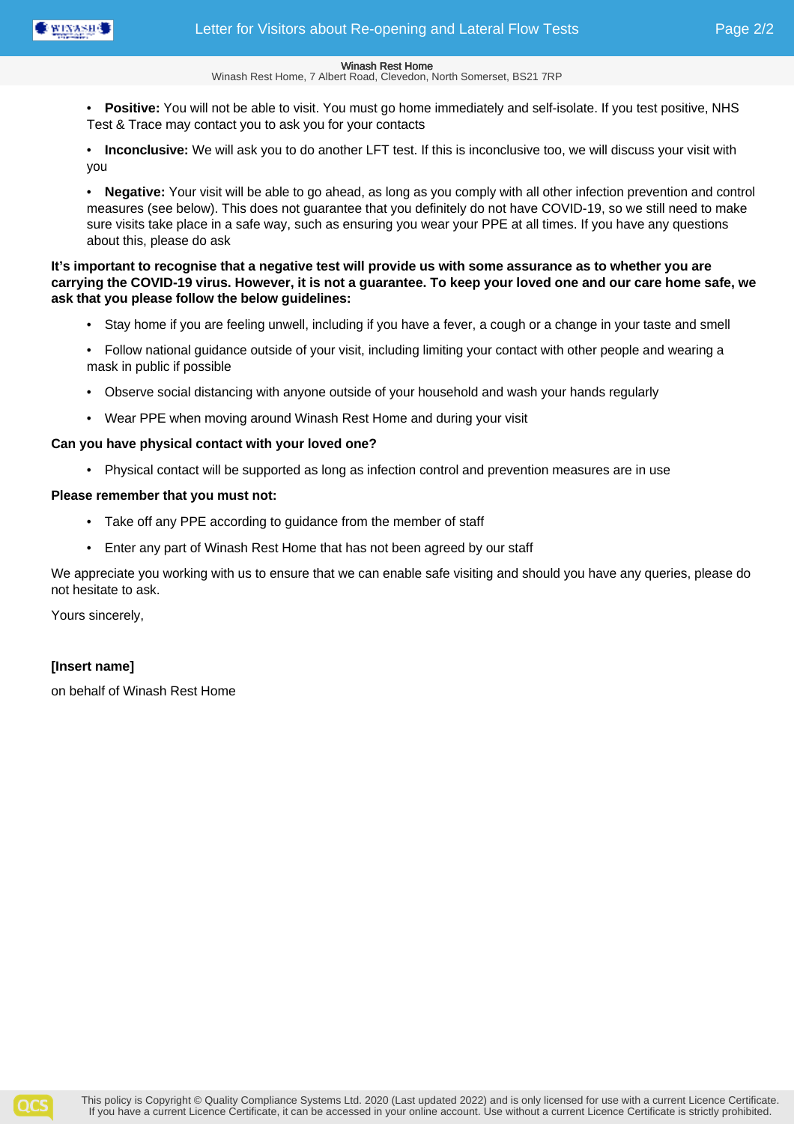

Winash Rest Home, 7 Albert Road, Clevedon, North Somerset, BS21 7RP

• **Positive:** You will not be able to visit. You must go home immediately and self-isolate. If you test positive, NHS Test & Trace may contact you to ask you for your contacts

• **Inconclusive:** We will ask you to do another LFT test. If this is inconclusive too, we will discuss your visit with you

• **Negative:** Your visit will be able to go ahead, as long as you comply with all other infection prevention and control measures (see below). This does not guarantee that you definitely do not have COVID-19, so we still need to make sure visits take place in a safe way, such as ensuring you wear your PPE at all times. If you have any questions about this, please do ask

## **It's important to recognise that a negative test will provide us with some assurance as to whether you are carrying the COVID-19 virus. However, it is not a guarantee. To keep your loved one and our care home safe, we ask that you please follow the below guidelines:**

- Stay home if you are feeling unwell, including if you have a fever, a cough or a change in your taste and smell
- Follow national guidance outside of your visit, including limiting your contact with other people and wearing a mask in public if possible
- Observe social distancing with anyone outside of your household and wash your hands regularly
- Wear PPE when moving around Winash Rest Home and during your visit

## **Can you have physical contact with your loved one?**

• Physical contact will be supported as long as infection control and prevention measures are in use

## **Please remember that you must not:**

- Take off any PPE according to guidance from the member of staff
- Enter any part of Winash Rest Home that has not been agreed by our staff

We appreciate you working with us to ensure that we can enable safe visiting and should you have any queries, please do not hesitate to ask.

Yours sincerely,

## **[Insert name]**

on behalf of Winash Rest Home

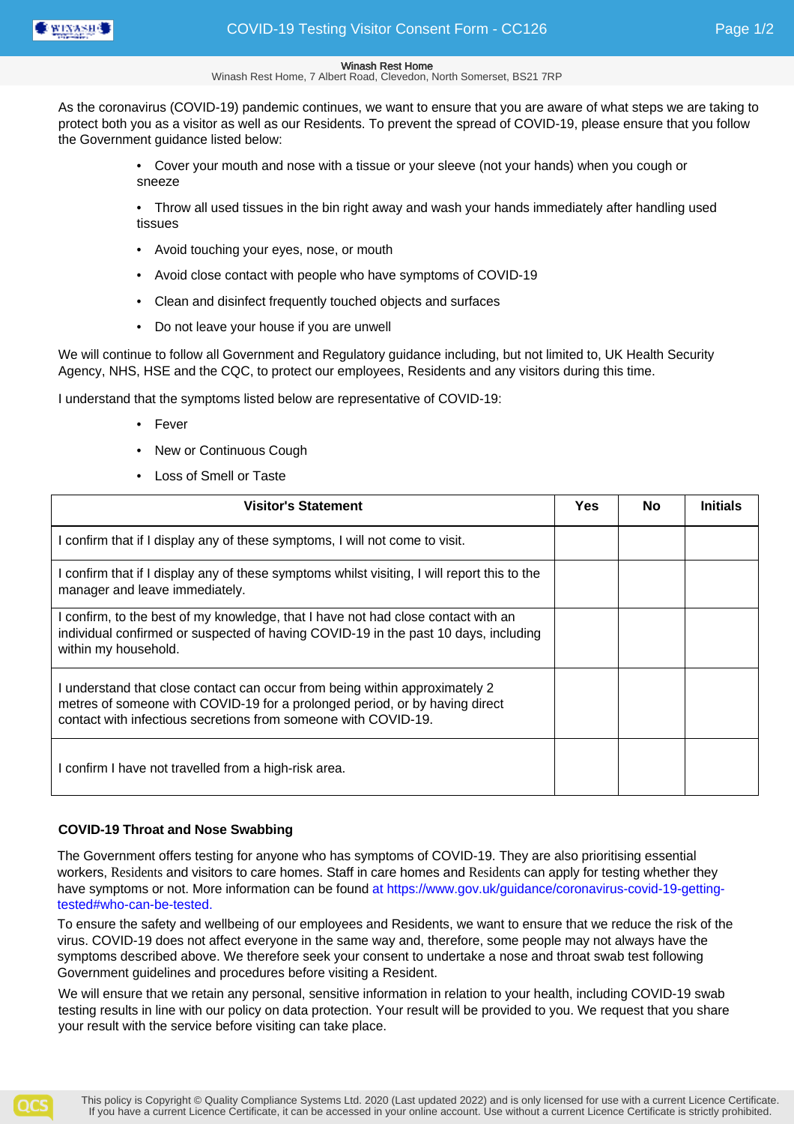

Winash Rest Home, 7 Albert Road, Clevedon, North Somerset, BS21 7RP

As the coronavirus (COVID-19) pandemic continues, we want to ensure that you are aware of what steps we are taking to protect both you as a visitor as well as our Residents. To prevent the spread of COVID-19, please ensure that you follow the Government guidance listed below:

> • Cover your mouth and nose with a tissue or your sleeve (not your hands) when you cough or sneeze

• Throw all used tissues in the bin right away and wash your hands immediately after handling used tissues

- Avoid touching your eyes, nose, or mouth
- Avoid close contact with people who have symptoms of COVID-19
- Clean and disinfect frequently touched objects and surfaces
- Do not leave your house if you are unwell

We will continue to follow all Government and Regulatory guidance including, but not limited to, UK Health Security Agency, NHS, HSE and the CQC, to protect our employees, Residents and any visitors during this time.

I understand that the symptoms listed below are representative of COVID-19:

- Fever
- **New or Continuous Cough**
- Loss of Smell or Taste

| <b>Visitor's Statement</b>                                                                                                                                                                                                   | Yes | <b>No</b> | <b>Initials</b> |
|------------------------------------------------------------------------------------------------------------------------------------------------------------------------------------------------------------------------------|-----|-----------|-----------------|
| I confirm that if I display any of these symptoms, I will not come to visit.                                                                                                                                                 |     |           |                 |
| I confirm that if I display any of these symptoms whilst visiting, I will report this to the<br>manager and leave immediately.                                                                                               |     |           |                 |
| I confirm, to the best of my knowledge, that I have not had close contact with an<br>individual confirmed or suspected of having COVID-19 in the past 10 days, including<br>within my household.                             |     |           |                 |
| I understand that close contact can occur from being within approximately 2<br>metres of someone with COVID-19 for a prolonged period, or by having direct<br>contact with infectious secretions from someone with COVID-19. |     |           |                 |
| I confirm I have not travelled from a high-risk area.                                                                                                                                                                        |     |           |                 |

## **COVID-19 Throat and Nose Swabbing**

The Government offers testing for anyone who has symptoms of COVID-19. They are also prioritising essential workers, Residents and visitors to care homes. Staff in care homes and Residents can apply for testing whether they have symptoms or not. More information can be found at https://www.gov.uk/guidance/coronavirus-covid-19-gettingtested#who-can-be-tested.

To ensure the safety and wellbeing of our employees and Residents, we want to ensure that we reduce the risk of the virus. COVID-19 does not affect everyone in the same way and, therefore, some people may not always have the symptoms described above. We therefore seek your consent to undertake a nose and throat swab test following Government guidelines and procedures before visiting a Resident.

We will ensure that we retain any personal, sensitive information in relation to your health, including COVID-19 swab testing results in line with our policy on data protection. Your result will be provided to you. We request that you share your result with the service before visiting can take place.